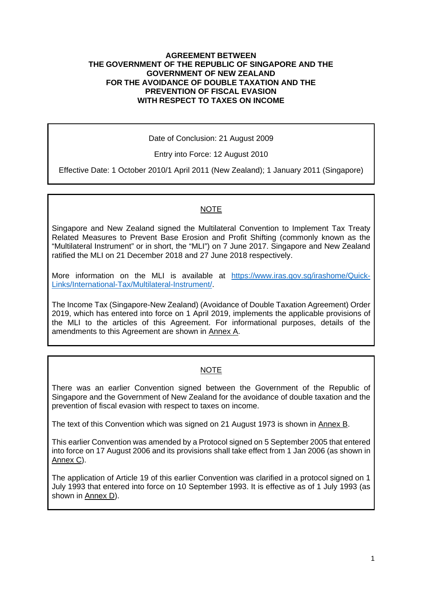### **AGREEMENT BETWEEN THE GOVERNMENT OF THE REPUBLIC OF SINGAPORE AND THE GOVERNMENT OF NEW ZEALAND FOR THE AVOIDANCE OF DOUBLE TAXATION AND THE PREVENTION OF FISCAL EVASION WITH RESPECT TO TAXES ON INCOME**

Date of Conclusion: 21 August 2009

Entry into Force: 12 August 2010

Effective Date: 1 October 2010/1 April 2011 (New Zealand); 1 January 2011 (Singapore)

## NOTE

Singapore and New Zealand signed the Multilateral Convention to Implement Tax Treaty Related Measures to Prevent Base Erosion and Profit Shifting (commonly known as the "Multilateral Instrument" or in short, the "MLI") on 7 June 2017. Singapore and New Zealand ratified the MLI on 21 December 2018 and 27 June 2018 respectively.

More information on the MLI is available at [https://www.iras.gov.sg/irashome/Quick-](https://www.iras.gov.sg/irashome/Quick-Links/International-Tax/Multilateral-Instrument/)[Links/International-Tax/Multilateral-Instrument/.](https://www.iras.gov.sg/irashome/Quick-Links/International-Tax/Multilateral-Instrument/)

The Income Tax (Singapore-New Zealand) (Avoidance of Double Taxation Agreement) Order 2019, which has entered into force on 1 April 2019, implements the applicable provisions of the MLI to the articles of this Agreement. For informational purposes, details of the amendments to this Agreement are shown in Annex A.

### NOTE

There was an earlier Convention signed between the Government of the Republic of Singapore and the Government of New Zealand for the avoidance of double taxation and the prevention of fiscal evasion with respect to taxes on income.

The text of this Convention which was signed on 21 August 1973 is shown in Annex B.

This earlier Convention was amended by a Protocol signed on 5 September 2005 that entered into force on 17 August 2006 and its provisions shall take effect from 1 Jan 2006 (as shown in Annex C).

The application of Article 19 of this earlier Convention was clarified in a protocol signed on 1 July 1993 that entered into force on 10 September 1993. It is effective as of 1 July 1993 (as shown in Annex D).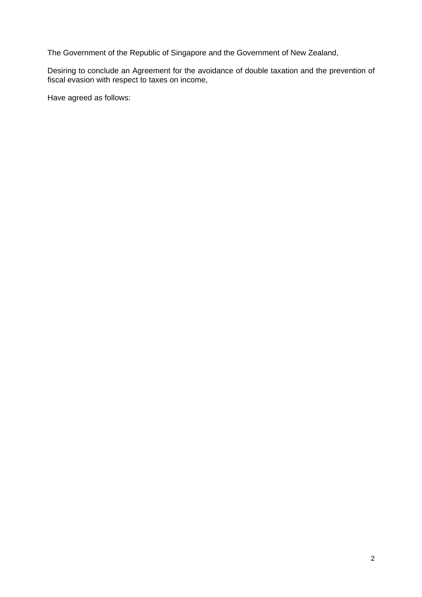The Government of the Republic of Singapore and the Government of New Zealand,

Desiring to conclude an Agreement for the avoidance of double taxation and the prevention of fiscal evasion with respect to taxes on income,

Have agreed as follows: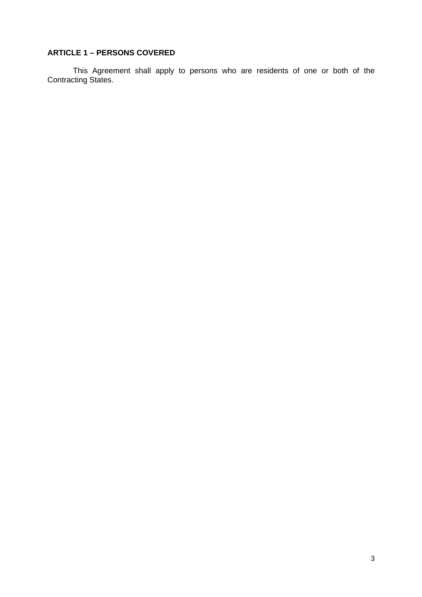# **ARTICLE 1 – PERSONS COVERED**

This Agreement shall apply to persons who are residents of one or both of the Contracting States.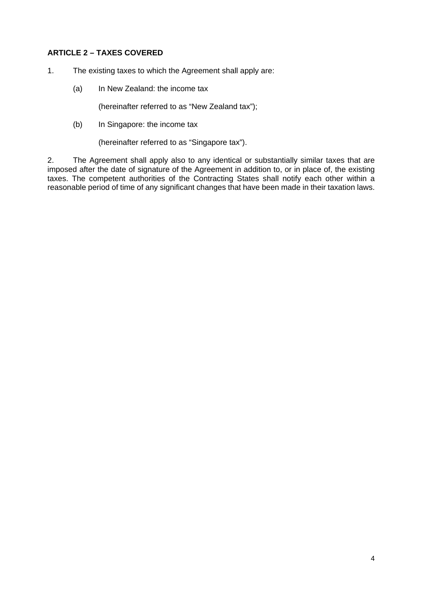# **ARTICLE 2 – TAXES COVERED**

- 1. The existing taxes to which the Agreement shall apply are:
	- (a) In New Zealand: the income tax

(hereinafter referred to as "New Zealand tax");

(b) In Singapore: the income tax

(hereinafter referred to as "Singapore tax").

2. The Agreement shall apply also to any identical or substantially similar taxes that are imposed after the date of signature of the Agreement in addition to, or in place of, the existing taxes. The competent authorities of the Contracting States shall notify each other within a reasonable period of time of any significant changes that have been made in their taxation laws.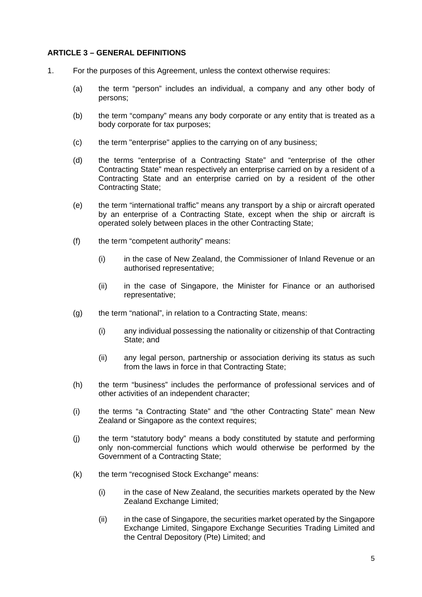### **ARTICLE 3 – GENERAL DEFINITIONS**

- 1. For the purposes of this Agreement, unless the context otherwise requires:
	- (a) the term "person" includes an individual, a company and any other body of persons;
	- (b) the term "company" means any body corporate or any entity that is treated as a body corporate for tax purposes;
	- (c) the term "enterprise" applies to the carrying on of any business;
	- (d) the terms "enterprise of a Contracting State" and "enterprise of the other Contracting State" mean respectively an enterprise carried on by a resident of a Contracting State and an enterprise carried on by a resident of the other Contracting State;
	- (e) the term "international traffic" means any transport by a ship or aircraft operated by an enterprise of a Contracting State, except when the ship or aircraft is operated solely between places in the other Contracting State;
	- (f) the term "competent authority" means:
		- (i) in the case of New Zealand, the Commissioner of Inland Revenue or an authorised representative;
		- (ii) in the case of Singapore, the Minister for Finance or an authorised representative;
	- (g) the term "national", in relation to a Contracting State, means:
		- (i) any individual possessing the nationality or citizenship of that Contracting State: and
		- (ii) any legal person, partnership or association deriving its status as such from the laws in force in that Contracting State;
	- (h) the term "business" includes the performance of professional services and of other activities of an independent character;
	- (i) the terms "a Contracting State" and "the other Contracting State" mean New Zealand or Singapore as the context requires;
	- (j) the term "statutory body" means a body constituted by statute and performing only non-commercial functions which would otherwise be performed by the Government of a Contracting State;
	- (k) the term "recognised Stock Exchange" means:
		- (i) in the case of New Zealand, the securities markets operated by the New Zealand Exchange Limited;
		- (ii) in the case of Singapore, the securities market operated by the Singapore Exchange Limited, Singapore Exchange Securities Trading Limited and the Central Depository (Pte) Limited; and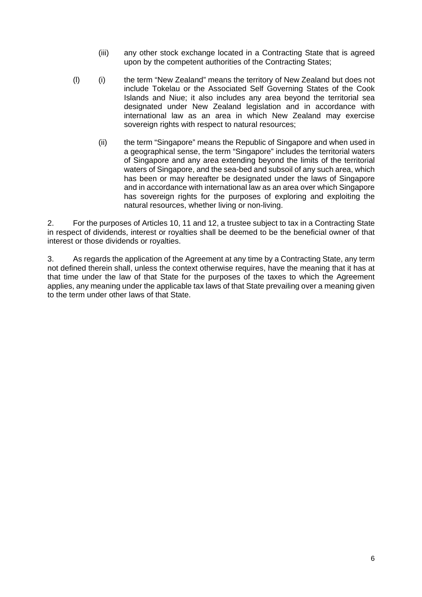- (iii) any other stock exchange located in a Contracting State that is agreed upon by the competent authorities of the Contracting States;
- (l) (i) the term "New Zealand" means the territory of New Zealand but does not include Tokelau or the Associated Self Governing States of the Cook Islands and Niue; it also includes any area beyond the territorial sea designated under New Zealand legislation and in accordance with international law as an area in which New Zealand may exercise sovereign rights with respect to natural resources;
	- (ii) the term "Singapore" means the Republic of Singapore and when used in a geographical sense, the term "Singapore" includes the territorial waters of Singapore and any area extending beyond the limits of the territorial waters of Singapore, and the sea-bed and subsoil of any such area, which has been or may hereafter be designated under the laws of Singapore and in accordance with international law as an area over which Singapore has sovereign rights for the purposes of exploring and exploiting the natural resources, whether living or non-living.

2. For the purposes of Articles 10, 11 and 12, a trustee subject to tax in a Contracting State in respect of dividends, interest or royalties shall be deemed to be the beneficial owner of that interest or those dividends or royalties.

3. As regards the application of the Agreement at any time by a Contracting State, any term not defined therein shall, unless the context otherwise requires, have the meaning that it has at that time under the law of that State for the purposes of the taxes to which the Agreement applies, any meaning under the applicable tax laws of that State prevailing over a meaning given to the term under other laws of that State.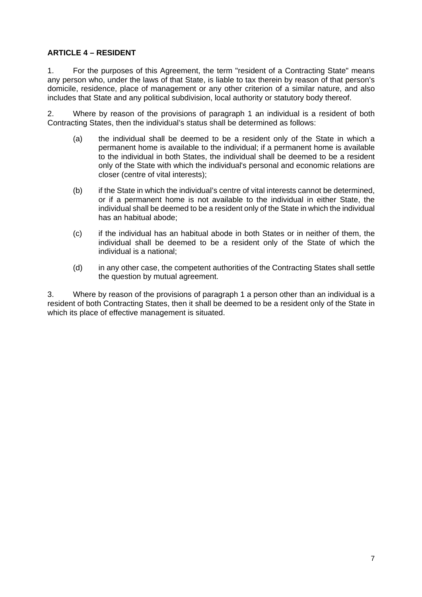# **ARTICLE 4 – RESIDENT**

1. For the purposes of this Agreement, the term "resident of a Contracting State" means any person who, under the laws of that State, is liable to tax therein by reason of that person's domicile, residence, place of management or any other criterion of a similar nature, and also includes that State and any political subdivision, local authority or statutory body thereof.

2. Where by reason of the provisions of paragraph 1 an individual is a resident of both Contracting States, then the individual's status shall be determined as follows:

- (a) the individual shall be deemed to be a resident only of the State in which a permanent home is available to the individual; if a permanent home is available to the individual in both States, the individual shall be deemed to be a resident only of the State with which the individual's personal and economic relations are closer (centre of vital interests);
- (b) if the State in which the individual's centre of vital interests cannot be determined, or if a permanent home is not available to the individual in either State, the individual shall be deemed to be a resident only of the State in which the individual has an habitual abode;
- (c) if the individual has an habitual abode in both States or in neither of them, the individual shall be deemed to be a resident only of the State of which the individual is a national;
- (d) in any other case, the competent authorities of the Contracting States shall settle the question by mutual agreement.

3. Where by reason of the provisions of paragraph 1 a person other than an individual is a resident of both Contracting States, then it shall be deemed to be a resident only of the State in which its place of effective management is situated.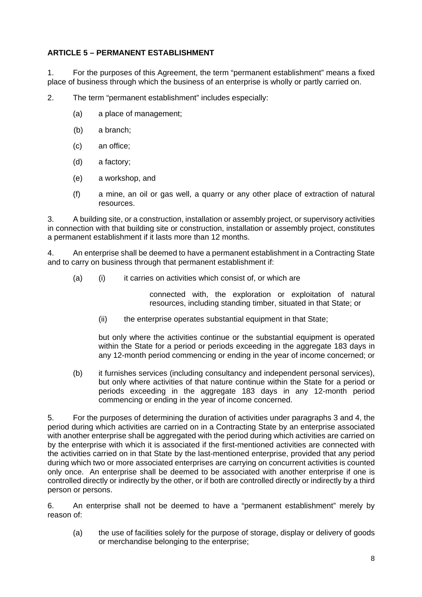## **ARTICLE 5 – PERMANENT ESTABLISHMENT**

1. For the purposes of this Agreement, the term "permanent establishment" means a fixed place of business through which the business of an enterprise is wholly or partly carried on.

2. The term "permanent establishment" includes especially:

- (a) a place of management;
- (b) a branch;
- (c) an office;
- (d) a factory;
- (e) a workshop, and
- (f) a mine, an oil or gas well, a quarry or any other place of extraction of natural resources.

3. A building site, or a construction, installation or assembly project, or supervisory activities in connection with that building site or construction, installation or assembly project, constitutes a permanent establishment if it lasts more than 12 months.

4. An enterprise shall be deemed to have a permanent establishment in a Contracting State and to carry on business through that permanent establishment if:

(a) (i) it carries on activities which consist of, or which are

connected with, the exploration or exploitation of natural resources, including standing timber, situated in that State; or

(ii) the enterprise operates substantial equipment in that State;

but only where the activities continue or the substantial equipment is operated within the State for a period or periods exceeding in the aggregate 183 days in any 12-month period commencing or ending in the year of income concerned; or

(b) it furnishes services (including consultancy and independent personal services), but only where activities of that nature continue within the State for a period or periods exceeding in the aggregate 183 days in any 12-month period commencing or ending in the year of income concerned.

5. For the purposes of determining the duration of activities under paragraphs 3 and 4, the period during which activities are carried on in a Contracting State by an enterprise associated with another enterprise shall be aggregated with the period during which activities are carried on by the enterprise with which it is associated if the first-mentioned activities are connected with the activities carried on in that State by the last-mentioned enterprise, provided that any period during which two or more associated enterprises are carrying on concurrent activities is counted only once. An enterprise shall be deemed to be associated with another enterprise if one is controlled directly or indirectly by the other, or if both are controlled directly or indirectly by a third person or persons.

6. An enterprise shall not be deemed to have a "permanent establishment" merely by reason of:

(a) the use of facilities solely for the purpose of storage, display or delivery of goods or merchandise belonging to the enterprise;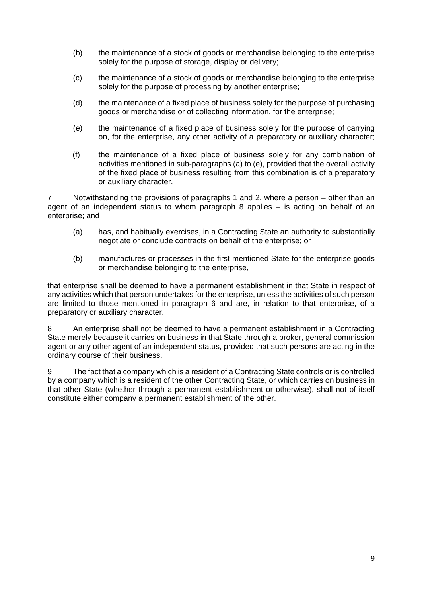- (b) the maintenance of a stock of goods or merchandise belonging to the enterprise solely for the purpose of storage, display or delivery;
- (c) the maintenance of a stock of goods or merchandise belonging to the enterprise solely for the purpose of processing by another enterprise;
- (d) the maintenance of a fixed place of business solely for the purpose of purchasing goods or merchandise or of collecting information, for the enterprise;
- (e) the maintenance of a fixed place of business solely for the purpose of carrying on, for the enterprise, any other activity of a preparatory or auxiliary character;
- (f) the maintenance of a fixed place of business solely for any combination of activities mentioned in sub-paragraphs (a) to (e), provided that the overall activity of the fixed place of business resulting from this combination is of a preparatory or auxiliary character.

7. Notwithstanding the provisions of paragraphs 1 and 2, where a person – other than an agent of an independent status to whom paragraph 8 applies – is acting on behalf of an enterprise; and

- (a) has, and habitually exercises, in a Contracting State an authority to substantially negotiate or conclude contracts on behalf of the enterprise; or
- (b) manufactures or processes in the first-mentioned State for the enterprise goods or merchandise belonging to the enterprise,

that enterprise shall be deemed to have a permanent establishment in that State in respect of any activities which that person undertakes for the enterprise, unless the activities of such person are limited to those mentioned in paragraph 6 and are, in relation to that enterprise, of a preparatory or auxiliary character.

8. An enterprise shall not be deemed to have a permanent establishment in a Contracting State merely because it carries on business in that State through a broker, general commission agent or any other agent of an independent status, provided that such persons are acting in the ordinary course of their business.

9. The fact that a company which is a resident of a Contracting State controls or is controlled by a company which is a resident of the other Contracting State, or which carries on business in that other State (whether through a permanent establishment or otherwise), shall not of itself constitute either company a permanent establishment of the other.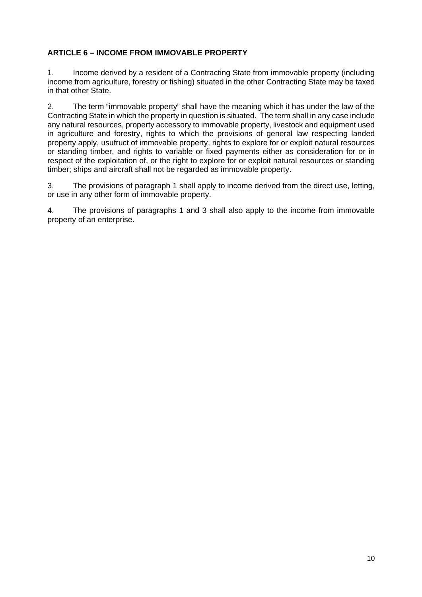## **ARTICLE 6 – INCOME FROM IMMOVABLE PROPERTY**

1. Income derived by a resident of a Contracting State from immovable property (including income from agriculture, forestry or fishing) situated in the other Contracting State may be taxed in that other State.

2. The term "immovable property" shall have the meaning which it has under the law of the Contracting State in which the property in question is situated. The term shall in any case include any natural resources, property accessory to immovable property, livestock and equipment used in agriculture and forestry, rights to which the provisions of general law respecting landed property apply, usufruct of immovable property, rights to explore for or exploit natural resources or standing timber, and rights to variable or fixed payments either as consideration for or in respect of the exploitation of, or the right to explore for or exploit natural resources or standing timber; ships and aircraft shall not be regarded as immovable property.

3. The provisions of paragraph 1 shall apply to income derived from the direct use, letting, or use in any other form of immovable property.

4. The provisions of paragraphs 1 and 3 shall also apply to the income from immovable property of an enterprise.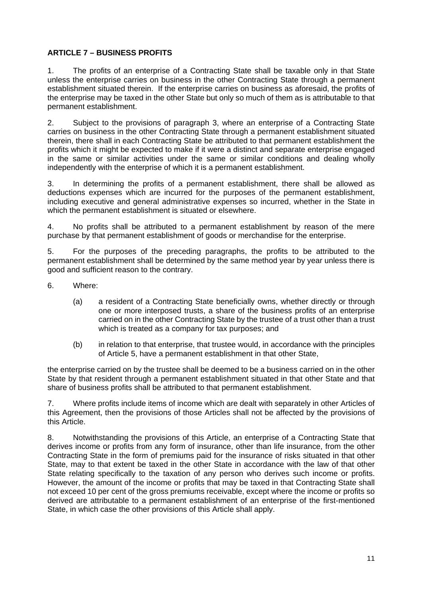# **ARTICLE 7 – BUSINESS PROFITS**

1. The profits of an enterprise of a Contracting State shall be taxable only in that State unless the enterprise carries on business in the other Contracting State through a permanent establishment situated therein. If the enterprise carries on business as aforesaid, the profits of the enterprise may be taxed in the other State but only so much of them as is attributable to that permanent establishment.

2. Subject to the provisions of paragraph 3, where an enterprise of a Contracting State carries on business in the other Contracting State through a permanent establishment situated therein, there shall in each Contracting State be attributed to that permanent establishment the profits which it might be expected to make if it were a distinct and separate enterprise engaged in the same or similar activities under the same or similar conditions and dealing wholly independently with the enterprise of which it is a permanent establishment.

3. In determining the profits of a permanent establishment, there shall be allowed as deductions expenses which are incurred for the purposes of the permanent establishment, including executive and general administrative expenses so incurred, whether in the State in which the permanent establishment is situated or elsewhere.

4. No profits shall be attributed to a permanent establishment by reason of the mere purchase by that permanent establishment of goods or merchandise for the enterprise.

5. For the purposes of the preceding paragraphs, the profits to be attributed to the permanent establishment shall be determined by the same method year by year unless there is good and sufficient reason to the contrary.

- 6. Where:
	- (a) a resident of a Contracting State beneficially owns, whether directly or through one or more interposed trusts, a share of the business profits of an enterprise carried on in the other Contracting State by the trustee of a trust other than a trust which is treated as a company for tax purposes; and
	- (b) in relation to that enterprise, that trustee would, in accordance with the principles of Article 5, have a permanent establishment in that other State,

the enterprise carried on by the trustee shall be deemed to be a business carried on in the other State by that resident through a permanent establishment situated in that other State and that share of business profits shall be attributed to that permanent establishment.

7. Where profits include items of income which are dealt with separately in other Articles of this Agreement, then the provisions of those Articles shall not be affected by the provisions of this Article.

8. Notwithstanding the provisions of this Article, an enterprise of a Contracting State that derives income or profits from any form of insurance, other than life insurance, from the other Contracting State in the form of premiums paid for the insurance of risks situated in that other State, may to that extent be taxed in the other State in accordance with the law of that other State relating specifically to the taxation of any person who derives such income or profits. However, the amount of the income or profits that may be taxed in that Contracting State shall not exceed 10 per cent of the gross premiums receivable, except where the income or profits so derived are attributable to a permanent establishment of an enterprise of the first-mentioned State, in which case the other provisions of this Article shall apply.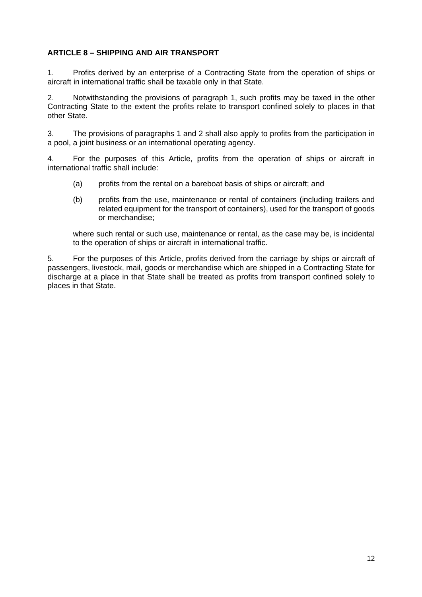## **ARTICLE 8 – SHIPPING AND AIR TRANSPORT**

1. Profits derived by an enterprise of a Contracting State from the operation of ships or aircraft in international traffic shall be taxable only in that State.

2. Notwithstanding the provisions of paragraph 1, such profits may be taxed in the other Contracting State to the extent the profits relate to transport confined solely to places in that other State.

3. The provisions of paragraphs 1 and 2 shall also apply to profits from the participation in a pool, a joint business or an international operating agency.

4. For the purposes of this Article, profits from the operation of ships or aircraft in international traffic shall include:

- (a) profits from the rental on a bareboat basis of ships or aircraft; and
- (b) profits from the use, maintenance or rental of containers (including trailers and related equipment for the transport of containers), used for the transport of goods or merchandise;

where such rental or such use, maintenance or rental, as the case may be, is incidental to the operation of ships or aircraft in international traffic.

5. For the purposes of this Article, profits derived from the carriage by ships or aircraft of passengers, livestock, mail, goods or merchandise which are shipped in a Contracting State for discharge at a place in that State shall be treated as profits from transport confined solely to places in that State.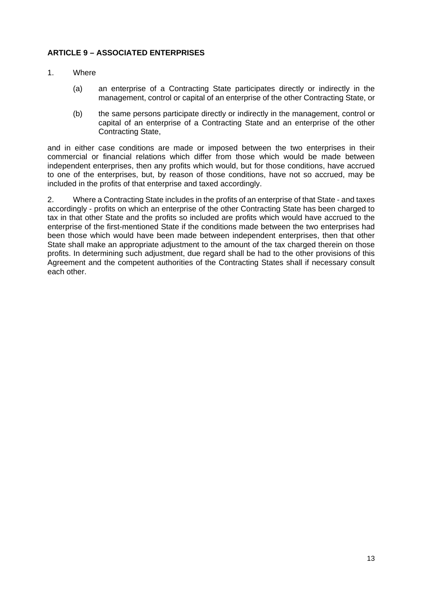## **ARTICLE 9 – ASSOCIATED ENTERPRISES**

- 1. Where
	- (a) an enterprise of a Contracting State participates directly or indirectly in the management, control or capital of an enterprise of the other Contracting State, or
	- (b) the same persons participate directly or indirectly in the management, control or capital of an enterprise of a Contracting State and an enterprise of the other Contracting State,

and in either case conditions are made or imposed between the two enterprises in their commercial or financial relations which differ from those which would be made between independent enterprises, then any profits which would, but for those conditions, have accrued to one of the enterprises, but, by reason of those conditions, have not so accrued, may be included in the profits of that enterprise and taxed accordingly.

2. Where a Contracting State includes in the profits of an enterprise of that State - and taxes accordingly - profits on which an enterprise of the other Contracting State has been charged to tax in that other State and the profits so included are profits which would have accrued to the enterprise of the first-mentioned State if the conditions made between the two enterprises had been those which would have been made between independent enterprises, then that other State shall make an appropriate adjustment to the amount of the tax charged therein on those profits. In determining such adjustment, due regard shall be had to the other provisions of this Agreement and the competent authorities of the Contracting States shall if necessary consult each other.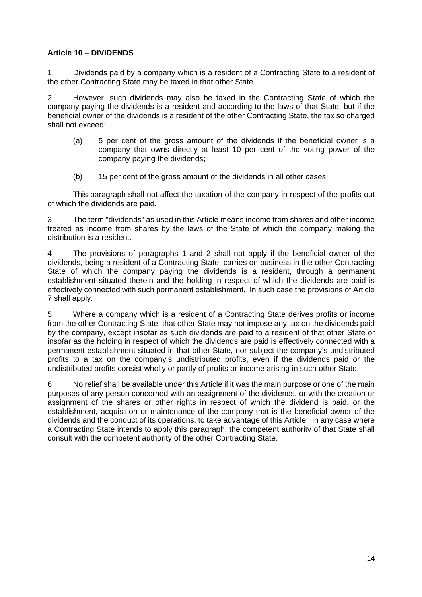## **Article 10 – DIVIDENDS**

1. Dividends paid by a company which is a resident of a Contracting State to a resident of the other Contracting State may be taxed in that other State.

2. However, such dividends may also be taxed in the Contracting State of which the company paying the dividends is a resident and according to the laws of that State, but if the beneficial owner of the dividends is a resident of the other Contracting State, the tax so charged shall not exceed:

- (a) 5 per cent of the gross amount of the dividends if the beneficial owner is a company that owns directly at least 10 per cent of the voting power of the company paying the dividends;
- (b) 15 per cent of the gross amount of the dividends in all other cases.

This paragraph shall not affect the taxation of the company in respect of the profits out of which the dividends are paid.

3. The term "dividends" as used in this Article means income from shares and other income treated as income from shares by the laws of the State of which the company making the distribution is a resident.

4. The provisions of paragraphs 1 and 2 shall not apply if the beneficial owner of the dividends, being a resident of a Contracting State, carries on business in the other Contracting State of which the company paying the dividends is a resident, through a permanent establishment situated therein and the holding in respect of which the dividends are paid is effectively connected with such permanent establishment. In such case the provisions of Article 7 shall apply.

5. Where a company which is a resident of a Contracting State derives profits or income from the other Contracting State, that other State may not impose any tax on the dividends paid by the company, except insofar as such dividends are paid to a resident of that other State or insofar as the holding in respect of which the dividends are paid is effectively connected with a permanent establishment situated in that other State, nor subject the company's undistributed profits to a tax on the company's undistributed profits, even if the dividends paid or the undistributed profits consist wholly or partly of profits or income arising in such other State.

6. No relief shall be available under this Article if it was the main purpose or one of the main purposes of any person concerned with an assignment of the dividends, or with the creation or assignment of the shares or other rights in respect of which the dividend is paid, or the establishment, acquisition or maintenance of the company that is the beneficial owner of the dividends and the conduct of its operations, to take advantage of this Article. In any case where a Contracting State intends to apply this paragraph, the competent authority of that State shall consult with the competent authority of the other Contracting State.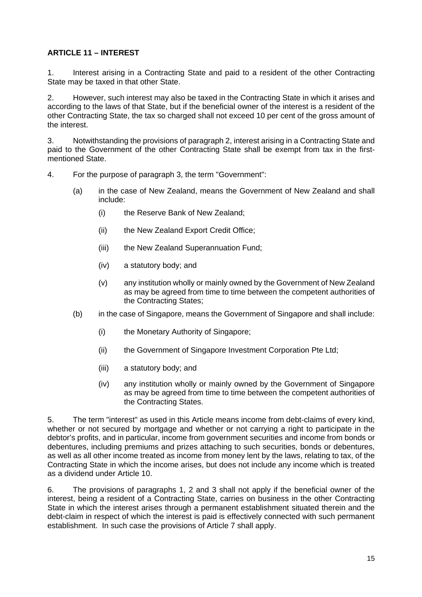# **ARTICLE 11 – INTEREST**

1. Interest arising in a Contracting State and paid to a resident of the other Contracting State may be taxed in that other State.

2. However, such interest may also be taxed in the Contracting State in which it arises and according to the laws of that State, but if the beneficial owner of the interest is a resident of the other Contracting State, the tax so charged shall not exceed 10 per cent of the gross amount of the interest.

3. Notwithstanding the provisions of paragraph 2, interest arising in a Contracting State and paid to the Government of the other Contracting State shall be exempt from tax in the firstmentioned State.

- 4. For the purpose of paragraph 3, the term "Government":
	- (a) in the case of New Zealand, means the Government of New Zealand and shall include:
		- (i) the Reserve Bank of New Zealand;
		- (ii) the New Zealand Export Credit Office;
		- (iii) the New Zealand Superannuation Fund;
		- (iv) a statutory body; and
		- (v) any institution wholly or mainly owned by the Government of New Zealand as may be agreed from time to time between the competent authorities of the Contracting States;
	- (b) in the case of Singapore, means the Government of Singapore and shall include:
		- (i) the Monetary Authority of Singapore;
		- (ii) the Government of Singapore Investment Corporation Pte Ltd;
		- (iii) a statutory body; and
		- (iv) any institution wholly or mainly owned by the Government of Singapore as may be agreed from time to time between the competent authorities of the Contracting States.

5. The term "interest" as used in this Article means income from debt-claims of every kind, whether or not secured by mortgage and whether or not carrying a right to participate in the debtor's profits, and in particular, income from government securities and income from bonds or debentures, including premiums and prizes attaching to such securities, bonds or debentures, as well as all other income treated as income from money lent by the laws, relating to tax, of the Contracting State in which the income arises, but does not include any income which is treated as a dividend under Article 10.

6. The provisions of paragraphs 1, 2 and 3 shall not apply if the beneficial owner of the interest, being a resident of a Contracting State, carries on business in the other Contracting State in which the interest arises through a permanent establishment situated therein and the debt-claim in respect of which the interest is paid is effectively connected with such permanent establishment. In such case the provisions of Article 7 shall apply.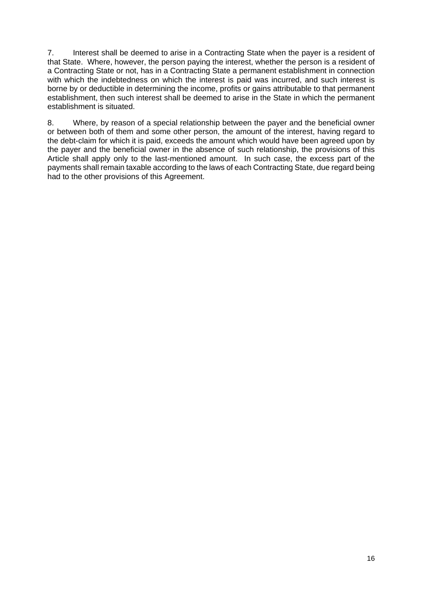7. Interest shall be deemed to arise in a Contracting State when the payer is a resident of that State. Where, however, the person paying the interest, whether the person is a resident of a Contracting State or not, has in a Contracting State a permanent establishment in connection with which the indebtedness on which the interest is paid was incurred, and such interest is borne by or deductible in determining the income, profits or gains attributable to that permanent establishment, then such interest shall be deemed to arise in the State in which the permanent establishment is situated.

8. Where, by reason of a special relationship between the payer and the beneficial owner or between both of them and some other person, the amount of the interest, having regard to the debt-claim for which it is paid, exceeds the amount which would have been agreed upon by the payer and the beneficial owner in the absence of such relationship, the provisions of this Article shall apply only to the last-mentioned amount. In such case, the excess part of the payments shall remain taxable according to the laws of each Contracting State, due regard being had to the other provisions of this Agreement.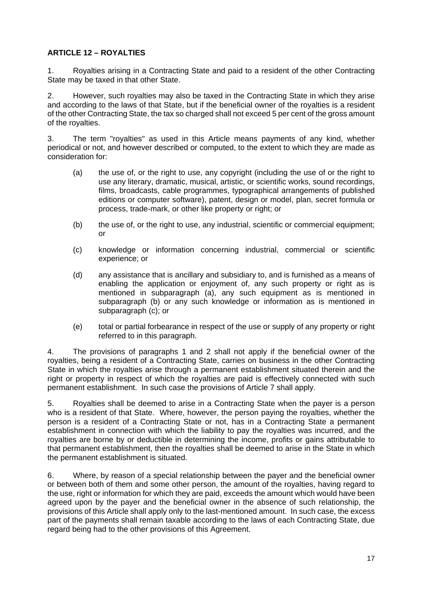# **ARTICLE 12 – ROYALTIES**

1. Royalties arising in a Contracting State and paid to a resident of the other Contracting State may be taxed in that other State.

2. However, such royalties may also be taxed in the Contracting State in which they arise and according to the laws of that State, but if the beneficial owner of the royalties is a resident of the other Contracting State, the tax so charged shall not exceed 5 per cent of the gross amount of the royalties.

3. The term "royalties" as used in this Article means payments of any kind, whether periodical or not, and however described or computed, to the extent to which they are made as consideration for:

- (a) the use of, or the right to use, any copyright (including the use of or the right to use any literary, dramatic, musical, artistic, or scientific works, sound recordings, films, broadcasts, cable programmes, typographical arrangements of published editions or computer software), patent, design or model, plan, secret formula or process, trade-mark, or other like property or right; or
- (b) the use of, or the right to use, any industrial, scientific or commercial equipment; or
- (c) knowledge or information concerning industrial, commercial or scientific experience; or
- (d) any assistance that is ancillary and subsidiary to, and is furnished as a means of enabling the application or enjoyment of, any such property or right as is mentioned in subparagraph (a), any such equipment as is mentioned in subparagraph (b) or any such knowledge or information as is mentioned in subparagraph (c); or
- (e) total or partial forbearance in respect of the use or supply of any property or right referred to in this paragraph.

4. The provisions of paragraphs 1 and 2 shall not apply if the beneficial owner of the royalties, being a resident of a Contracting State, carries on business in the other Contracting State in which the royalties arise through a permanent establishment situated therein and the right or property in respect of which the royalties are paid is effectively connected with such permanent establishment. In such case the provisions of Article 7 shall apply.

5. Royalties shall be deemed to arise in a Contracting State when the payer is a person who is a resident of that State. Where, however, the person paying the royalties, whether the person is a resident of a Contracting State or not, has in a Contracting State a permanent establishment in connection with which the liability to pay the royalties was incurred, and the royalties are borne by or deductible in determining the income, profits or gains attributable to that permanent establishment, then the royalties shall be deemed to arise in the State in which the permanent establishment is situated.

6. Where, by reason of a special relationship between the payer and the beneficial owner or between both of them and some other person, the amount of the royalties, having regard to the use, right or information for which they are paid, exceeds the amount which would have been agreed upon by the payer and the beneficial owner in the absence of such relationship, the provisions of this Article shall apply only to the last-mentioned amount. In such case, the excess part of the payments shall remain taxable according to the laws of each Contracting State, due regard being had to the other provisions of this Agreement.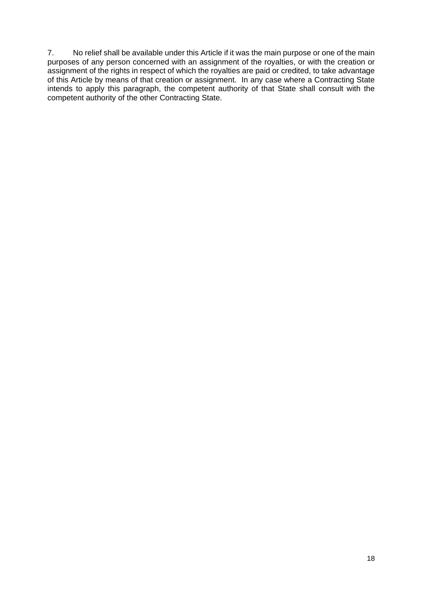7. No relief shall be available under this Article if it was the main purpose or one of the main purposes of any person concerned with an assignment of the royalties, or with the creation or assignment of the rights in respect of which the royalties are paid or credited, to take advantage of this Article by means of that creation or assignment. In any case where a Contracting State intends to apply this paragraph, the competent authority of that State shall consult with the competent authority of the other Contracting State.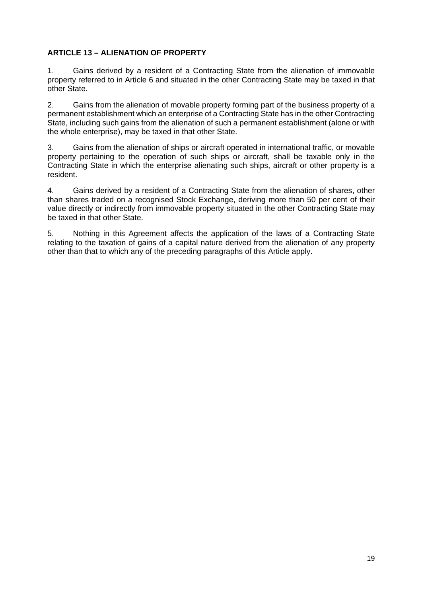# **ARTICLE 13 – ALIENATION OF PROPERTY**

1. Gains derived by a resident of a Contracting State from the alienation of immovable property referred to in Article 6 and situated in the other Contracting State may be taxed in that other State.

2. Gains from the alienation of movable property forming part of the business property of a permanent establishment which an enterprise of a Contracting State has in the other Contracting State, including such gains from the alienation of such a permanent establishment (alone or with the whole enterprise), may be taxed in that other State.

3. Gains from the alienation of ships or aircraft operated in international traffic, or movable property pertaining to the operation of such ships or aircraft, shall be taxable only in the Contracting State in which the enterprise alienating such ships, aircraft or other property is a resident.

4. Gains derived by a resident of a Contracting State from the alienation of shares, other than shares traded on a recognised Stock Exchange, deriving more than 50 per cent of their value directly or indirectly from immovable property situated in the other Contracting State may be taxed in that other State.

5. Nothing in this Agreement affects the application of the laws of a Contracting State relating to the taxation of gains of a capital nature derived from the alienation of any property other than that to which any of the preceding paragraphs of this Article apply.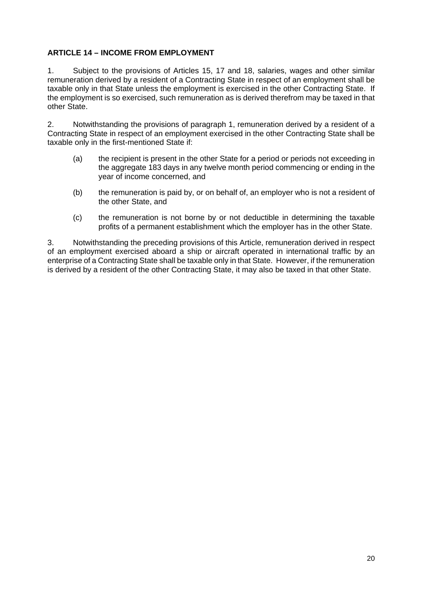## **ARTICLE 14 – INCOME FROM EMPLOYMENT**

1. Subject to the provisions of Articles 15, 17 and 18, salaries, wages and other similar remuneration derived by a resident of a Contracting State in respect of an employment shall be taxable only in that State unless the employment is exercised in the other Contracting State. If the employment is so exercised, such remuneration as is derived therefrom may be taxed in that other State.

2. Notwithstanding the provisions of paragraph 1, remuneration derived by a resident of a Contracting State in respect of an employment exercised in the other Contracting State shall be taxable only in the first-mentioned State if:

- (a) the recipient is present in the other State for a period or periods not exceeding in the aggregate 183 days in any twelve month period commencing or ending in the year of income concerned, and
- (b) the remuneration is paid by, or on behalf of, an employer who is not a resident of the other State, and
- (c) the remuneration is not borne by or not deductible in determining the taxable profits of a permanent establishment which the employer has in the other State.

3. Notwithstanding the preceding provisions of this Article, remuneration derived in respect of an employment exercised aboard a ship or aircraft operated in international traffic by an enterprise of a Contracting State shall be taxable only in that State. However, if the remuneration is derived by a resident of the other Contracting State, it may also be taxed in that other State.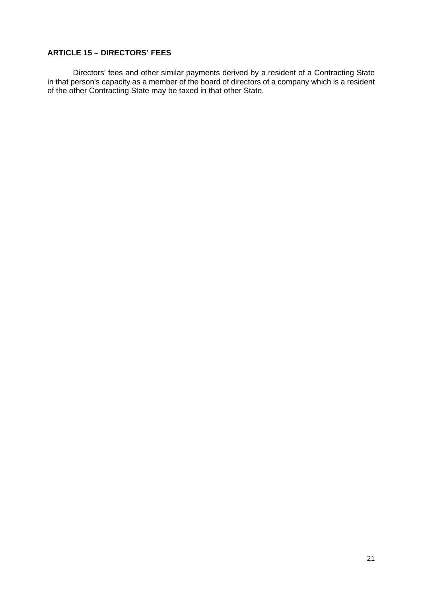## **ARTICLE 15 – DIRECTORS' FEES**

Directors' fees and other similar payments derived by a resident of a Contracting State in that person's capacity as a member of the board of directors of a company which is a resident of the other Contracting State may be taxed in that other State.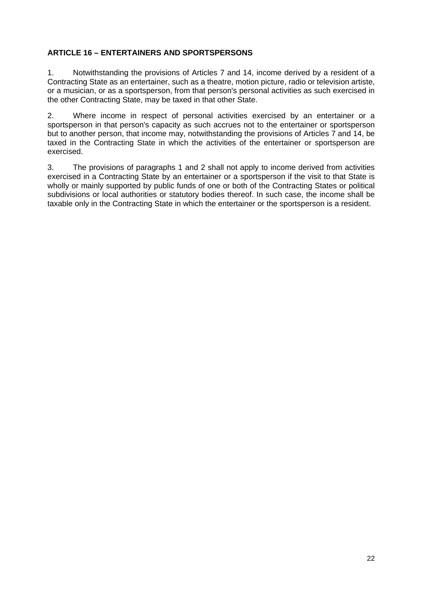# **ARTICLE 16 – ENTERTAINERS AND SPORTSPERSONS**

1. Notwithstanding the provisions of Articles 7 and 14, income derived by a resident of a Contracting State as an entertainer, such as a theatre, motion picture, radio or television artiste, or a musician, or as a sportsperson, from that person's personal activities as such exercised in the other Contracting State, may be taxed in that other State.

2. Where income in respect of personal activities exercised by an entertainer or a sportsperson in that person's capacity as such accrues not to the entertainer or sportsperson but to another person, that income may, notwithstanding the provisions of Articles 7 and 14, be taxed in the Contracting State in which the activities of the entertainer or sportsperson are exercised.

3. The provisions of paragraphs 1 and 2 shall not apply to income derived from activities exercised in a Contracting State by an entertainer or a sportsperson if the visit to that State is wholly or mainly supported by public funds of one or both of the Contracting States or political subdivisions or local authorities or statutory bodies thereof. In such case, the income shall be taxable only in the Contracting State in which the entertainer or the sportsperson is a resident.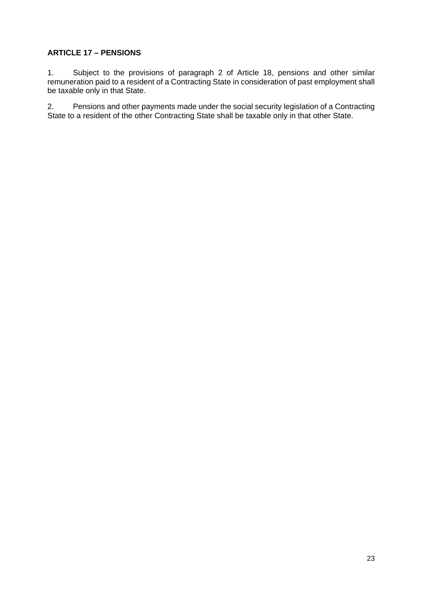# **ARTICLE 17 – PENSIONS**

1. Subject to the provisions of paragraph 2 of Article 18, pensions and other similar remuneration paid to a resident of a Contracting State in consideration of past employment shall be taxable only in that State.

2. Pensions and other payments made under the social security legislation of a Contracting State to a resident of the other Contracting State shall be taxable only in that other State.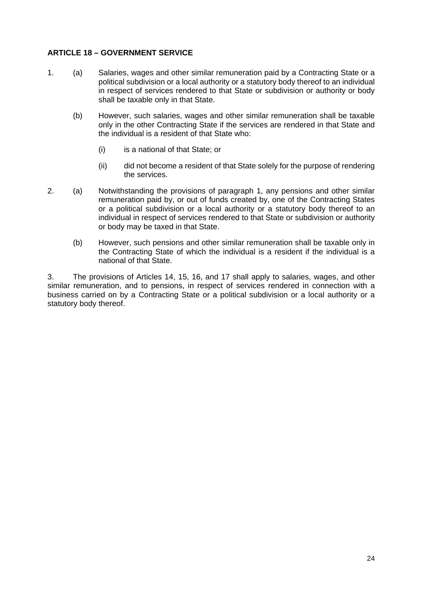## **ARTICLE 18 – GOVERNMENT SERVICE**

- 1. (a) Salaries, wages and other similar remuneration paid by a Contracting State or a political subdivision or a local authority or a statutory body thereof to an individual in respect of services rendered to that State or subdivision or authority or body shall be taxable only in that State.
	- (b) However, such salaries, wages and other similar remuneration shall be taxable only in the other Contracting State if the services are rendered in that State and the individual is a resident of that State who:
		- (i) is a national of that State; or
		- (ii) did not become a resident of that State solely for the purpose of rendering the services.
- 2. (a) Notwithstanding the provisions of paragraph 1, any pensions and other similar remuneration paid by, or out of funds created by, one of the Contracting States or a political subdivision or a local authority or a statutory body thereof to an individual in respect of services rendered to that State or subdivision or authority or body may be taxed in that State.
	- (b) However, such pensions and other similar remuneration shall be taxable only in the Contracting State of which the individual is a resident if the individual is a national of that State.

3. The provisions of Articles 14, 15, 16, and 17 shall apply to salaries, wages, and other similar remuneration, and to pensions, in respect of services rendered in connection with a business carried on by a Contracting State or a political subdivision or a local authority or a statutory body thereof.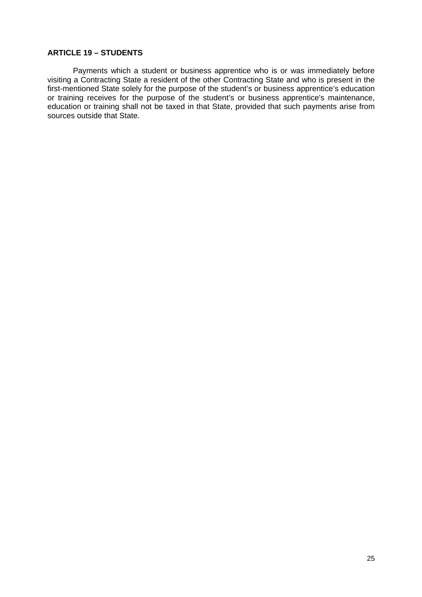## **ARTICLE 19 – STUDENTS**

Payments which a student or business apprentice who is or was immediately before visiting a Contracting State a resident of the other Contracting State and who is present in the first-mentioned State solely for the purpose of the student's or business apprentice's education or training receives for the purpose of the student's or business apprentice's maintenance, education or training shall not be taxed in that State, provided that such payments arise from sources outside that State.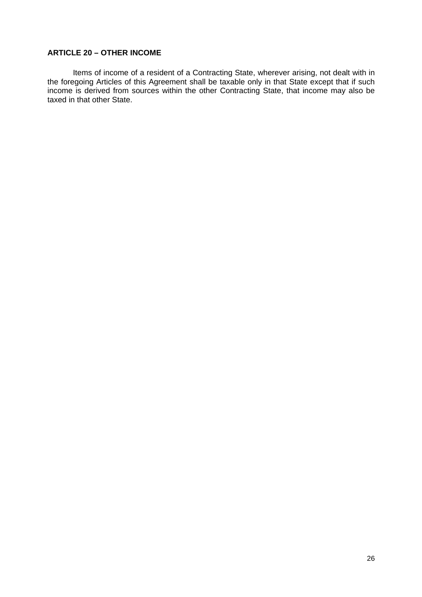## **ARTICLE 20 – OTHER INCOME**

Items of income of a resident of a Contracting State, wherever arising, not dealt with in the foregoing Articles of this Agreement shall be taxable only in that State except that if such income is derived from sources within the other Contracting State, that income may also be taxed in that other State.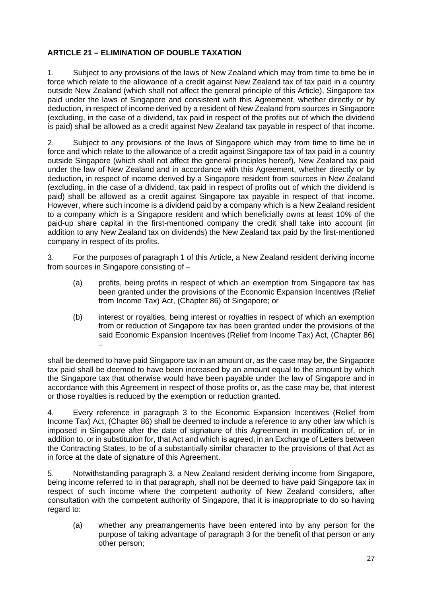# **ARTICLE 21 – ELIMINATION OF DOUBLE TAXATION**

1. Subject to any provisions of the laws of New Zealand which may from time to time be in force which relate to the allowance of a credit against New Zealand tax of tax paid in a country outside New Zealand (which shall not affect the general principle of this Article), Singapore tax paid under the laws of Singapore and consistent with this Agreement, whether directly or by deduction, in respect of income derived by a resident of New Zealand from sources in Singapore (excluding, in the case of a dividend, tax paid in respect of the profits out of which the dividend is paid) shall be allowed as a credit against New Zealand tax payable in respect of that income.

2. Subject to any provisions of the laws of Singapore which may from time to time be in force and which relate to the allowance of a credit against Singapore tax of tax paid in a country outside Singapore (which shall not affect the general principles hereof), New Zealand tax paid under the law of New Zealand and in accordance with this Agreement, whether directly or by deduction, in respect of income derived by a Singapore resident from sources in New Zealand (excluding, in the case of a dividend, tax paid in respect of profits out of which the dividend is paid) shall be allowed as a credit against Singapore tax payable in respect of that income. However, where such income is a dividend paid by a company which is a New Zealand resident to a company which is a Singapore resident and which beneficially owns at least 10% of the paid-up share capital in the first-mentioned company the credit shall take into account (in addition to any New Zealand tax on dividends) the New Zealand tax paid by the first-mentioned company in respect of its profits.

3. For the purposes of paragraph 1 of this Article, a New Zealand resident deriving income from sources in Singapore consisting of –

- (a) profits, being profits in respect of which an exemption from Singapore tax has been granted under the provisions of the Economic Expansion Incentives (Relief from Income Tax) Act, (Chapter 86) of Singapore; or
- (b) interest or royalties, being interest or royalties in respect of which an exemption from or reduction of Singapore tax has been granted under the provisions of the said Economic Expansion Incentives (Relief from Income Tax) Act, (Chapter 86) −

shall be deemed to have paid Singapore tax in an amount or, as the case may be, the Singapore tax paid shall be deemed to have been increased by an amount equal to the amount by which the Singapore tax that otherwise would have been payable under the law of Singapore and in accordance with this Agreement in respect of those profits or, as the case may be, that interest or those royalties is reduced by the exemption or reduction granted.

4. Every reference in paragraph 3 to the Economic Expansion Incentives (Relief from Income Tax) Act, (Chapter 86) shall be deemed to include a reference to any other law which is imposed in Singapore after the date of signature of this Agreement in modification of, or in addition to, or in substitution for, that Act and which is agreed, in an Exchange of Letters between the Contracting States, to be of a substantially similar character to the provisions of that Act as in force at the date of signature of this Agreement.

5. Notwithstanding paragraph 3, a New Zealand resident deriving income from Singapore, being income referred to in that paragraph, shall not be deemed to have paid Singapore tax in respect of such income where the competent authority of New Zealand considers, after consultation with the competent authority of Singapore, that it is inappropriate to do so having regard to:

(a) whether any prearrangements have been entered into by any person for the purpose of taking advantage of paragraph 3 for the benefit of that person or any other person;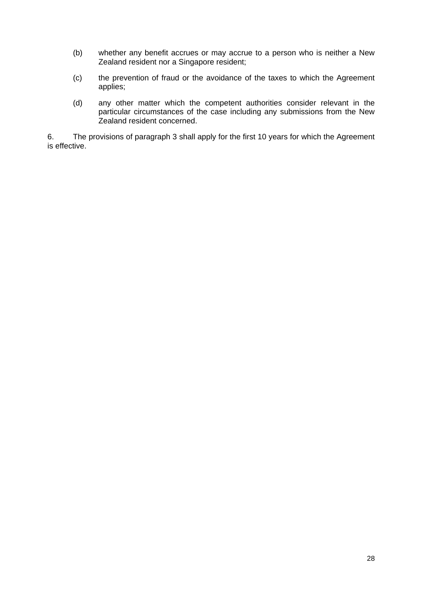- (b) whether any benefit accrues or may accrue to a person who is neither a New Zealand resident nor a Singapore resident;
- (c) the prevention of fraud or the avoidance of the taxes to which the Agreement applies;
- (d) any other matter which the competent authorities consider relevant in the particular circumstances of the case including any submissions from the New Zealand resident concerned.

6. The provisions of paragraph 3 shall apply for the first 10 years for which the Agreement is effective.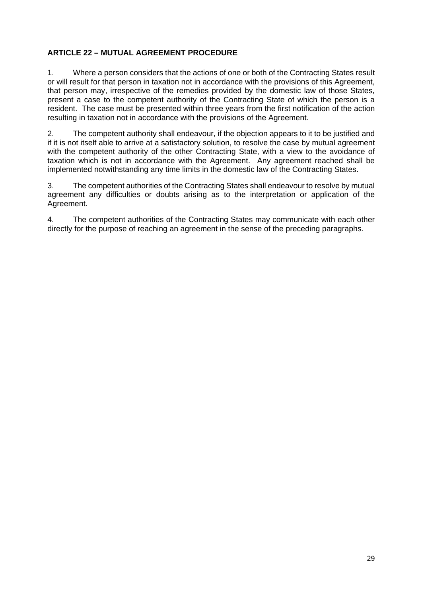# **ARTICLE 22 – MUTUAL AGREEMENT PROCEDURE**

1. Where a person considers that the actions of one or both of the Contracting States result or will result for that person in taxation not in accordance with the provisions of this Agreement, that person may, irrespective of the remedies provided by the domestic law of those States, present a case to the competent authority of the Contracting State of which the person is a resident. The case must be presented within three years from the first notification of the action resulting in taxation not in accordance with the provisions of the Agreement.

2. The competent authority shall endeavour, if the objection appears to it to be justified and if it is not itself able to arrive at a satisfactory solution, to resolve the case by mutual agreement with the competent authority of the other Contracting State, with a view to the avoidance of taxation which is not in accordance with the Agreement. Any agreement reached shall be implemented notwithstanding any time limits in the domestic law of the Contracting States.

3. The competent authorities of the Contracting States shall endeavour to resolve by mutual agreement any difficulties or doubts arising as to the interpretation or application of the Agreement.

4. The competent authorities of the Contracting States may communicate with each other directly for the purpose of reaching an agreement in the sense of the preceding paragraphs.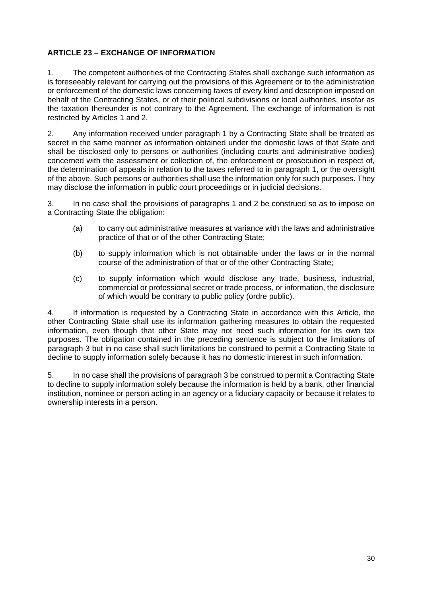# **ARTICLE 23 – EXCHANGE OF INFORMATION**

1. The competent authorities of the Contracting States shall exchange such information as is foreseeably relevant for carrying out the provisions of this Agreement or to the administration or enforcement of the domestic laws concerning taxes of every kind and description imposed on behalf of the Contracting States, or of their political subdivisions or local authorities, insofar as the taxation thereunder is not contrary to the Agreement. The exchange of information is not restricted by Articles 1 and 2.

2. Any information received under paragraph 1 by a Contracting State shall be treated as secret in the same manner as information obtained under the domestic laws of that State and shall be disclosed only to persons or authorities (including courts and administrative bodies) concerned with the assessment or collection of, the enforcement or prosecution in respect of, the determination of appeals in relation to the taxes referred to in paragraph 1, or the oversight of the above. Such persons or authorities shall use the information only for such purposes. They may disclose the information in public court proceedings or in judicial decisions.

3. In no case shall the provisions of paragraphs 1 and 2 be construed so as to impose on a Contracting State the obligation:

- (a) to carry out administrative measures at variance with the laws and administrative practice of that or of the other Contracting State;
- (b) to supply information which is not obtainable under the laws or in the normal course of the administration of that or of the other Contracting State;
- (c) to supply information which would disclose any trade, business, industrial, commercial or professional secret or trade process, or information, the disclosure of which would be contrary to public policy (ordre public).

4. If information is requested by a Contracting State in accordance with this Article, the other Contracting State shall use its information gathering measures to obtain the requested information, even though that other State may not need such information for its own tax purposes. The obligation contained in the preceding sentence is subject to the limitations of paragraph 3 but in no case shall such limitations be construed to permit a Contracting State to decline to supply information solely because it has no domestic interest in such information.

5. In no case shall the provisions of paragraph 3 be construed to permit a Contracting State to decline to supply information solely because the information is held by a bank, other financial institution, nominee or person acting in an agency or a fiduciary capacity or because it relates to ownership interests in a person.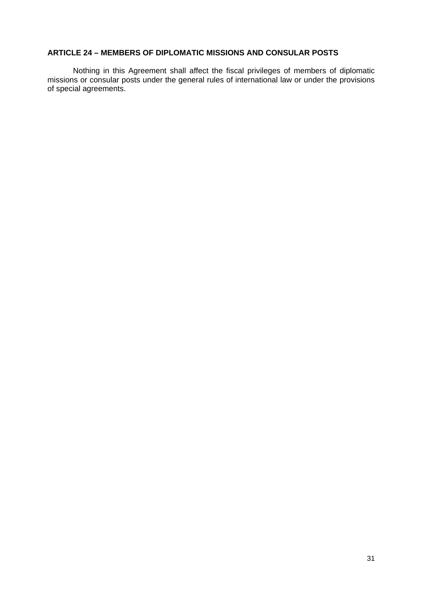# **ARTICLE 24 – MEMBERS OF DIPLOMATIC MISSIONS AND CONSULAR POSTS**

Nothing in this Agreement shall affect the fiscal privileges of members of diplomatic missions or consular posts under the general rules of international law or under the provisions of special agreements.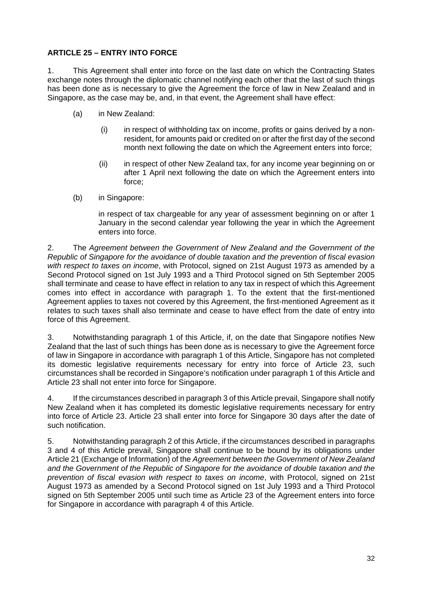# **ARTICLE 25 – ENTRY INTO FORCE**

1. This Agreement shall enter into force on the last date on which the Contracting States exchange notes through the diplomatic channel notifying each other that the last of such things has been done as is necessary to give the Agreement the force of law in New Zealand and in Singapore, as the case may be, and, in that event, the Agreement shall have effect:

- (a) in New Zealand:
	- (i) in respect of withholding tax on income, profits or gains derived by a nonresident, for amounts paid or credited on or after the first day of the second month next following the date on which the Agreement enters into force;
	- (ii) in respect of other New Zealand tax, for any income year beginning on or after 1 April next following the date on which the Agreement enters into force;
- (b) in Singapore:

in respect of tax chargeable for any year of assessment beginning on or after 1 January in the second calendar year following the year in which the Agreement enters into force.

2. The *Agreement between the Government of New Zealand and the Government of the Republic of Singapore for the avoidance of double taxation and the prevention of fiscal evasion with respect to taxes on income*, with Protocol, signed on 21st August 1973 as amended by a Second Protocol signed on 1st July 1993 and a Third Protocol signed on 5th September 2005 shall terminate and cease to have effect in relation to any tax in respect of which this Agreement comes into effect in accordance with paragraph 1. To the extent that the first-mentioned Agreement applies to taxes not covered by this Agreement, the first-mentioned Agreement as it relates to such taxes shall also terminate and cease to have effect from the date of entry into force of this Agreement.

3. Notwithstanding paragraph 1 of this Article, if, on the date that Singapore notifies New Zealand that the last of such things has been done as is necessary to give the Agreement force of law in Singapore in accordance with paragraph 1 of this Article, Singapore has not completed its domestic legislative requirements necessary for entry into force of Article 23, such circumstances shall be recorded in Singapore's notification under paragraph 1 of this Article and Article 23 shall not enter into force for Singapore.

4. If the circumstances described in paragraph 3 of this Article prevail, Singapore shall notify New Zealand when it has completed its domestic legislative requirements necessary for entry into force of Article 23. Article 23 shall enter into force for Singapore 30 days after the date of such notification.

5. Notwithstanding paragraph 2 of this Article, if the circumstances described in paragraphs 3 and 4 of this Article prevail, Singapore shall continue to be bound by its obligations under Article 21 (Exchange of Information) of the *Agreement between the Government of New Zealand and the Government of the Republic of Singapore for the avoidance of double taxation and the prevention of fiscal evasion with respect to taxes on income*, with Protocol, signed on 21st August 1973 as amended by a Second Protocol signed on 1st July 1993 and a Third Protocol signed on 5th September 2005 until such time as Article 23 of the Agreement enters into force for Singapore in accordance with paragraph 4 of this Article.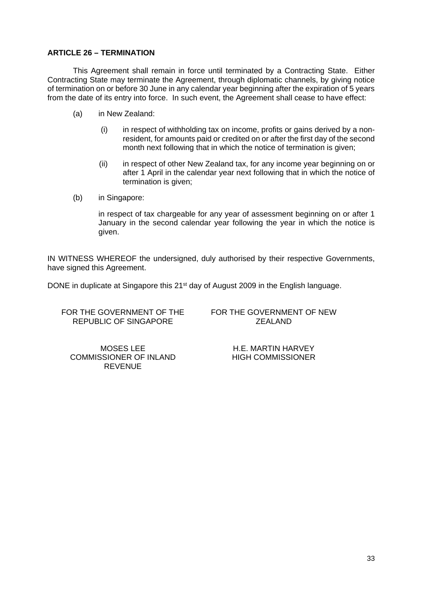## **ARTICLE 26 – TERMINATION**

This Agreement shall remain in force until terminated by a Contracting State. Either Contracting State may terminate the Agreement, through diplomatic channels, by giving notice of termination on or before 30 June in any calendar year beginning after the expiration of 5 years from the date of its entry into force. In such event, the Agreement shall cease to have effect:

- (a) in New Zealand:
	- (i) in respect of withholding tax on income, profits or gains derived by a nonresident, for amounts paid or credited on or after the first day of the second month next following that in which the notice of termination is given;
	- (ii) in respect of other New Zealand tax, for any income year beginning on or after 1 April in the calendar year next following that in which the notice of termination is given;
- (b) in Singapore:

in respect of tax chargeable for any year of assessment beginning on or after 1 January in the second calendar year following the year in which the notice is given.

IN WITNESS WHEREOF the undersigned, duly authorised by their respective Governments, have signed this Agreement.

DONE in duplicate at Singapore this 21<sup>st</sup> day of August 2009 in the English language.

FOR THE GOVERNMENT OF THE REPUBLIC OF SINGAPORE

FOR THE GOVERNMENT OF NEW ZEALAND

MOSES LEE COMMISSIONER OF INLAND REVENUE

H.F. MARTIN HARVEY HIGH COMMISSIONER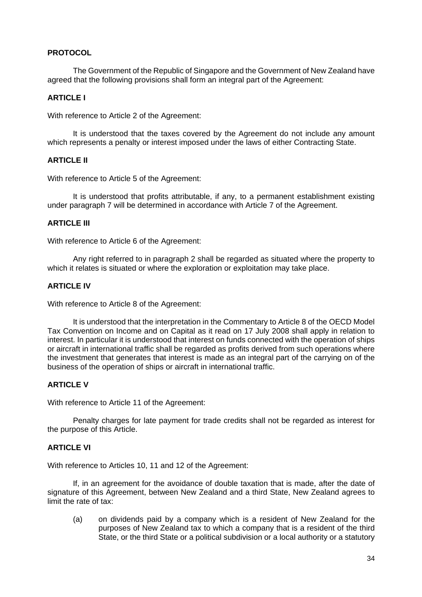## **PROTOCOL**

The Government of the Republic of Singapore and the Government of New Zealand have agreed that the following provisions shall form an integral part of the Agreement:

### **ARTICLE I**

With reference to Article 2 of the Agreement:

It is understood that the taxes covered by the Agreement do not include any amount which represents a penalty or interest imposed under the laws of either Contracting State.

### **ARTICLE II**

With reference to Article 5 of the Agreement:

It is understood that profits attributable, if any, to a permanent establishment existing under paragraph 7 will be determined in accordance with Article 7 of the Agreement.

### **ARTICLE III**

With reference to Article 6 of the Agreement:

Any right referred to in paragraph 2 shall be regarded as situated where the property to which it relates is situated or where the exploration or exploitation may take place.

### **ARTICLE IV**

With reference to Article 8 of the Agreement:

It is understood that the interpretation in the Commentary to Article 8 of the OECD Model Tax Convention on Income and on Capital as it read on 17 July 2008 shall apply in relation to interest. In particular it is understood that interest on funds connected with the operation of ships or aircraft in international traffic shall be regarded as profits derived from such operations where the investment that generates that interest is made as an integral part of the carrying on of the business of the operation of ships or aircraft in international traffic.

### **ARTICLE V**

With reference to Article 11 of the Agreement:

Penalty charges for late payment for trade credits shall not be regarded as interest for the purpose of this Article.

### **ARTICLE VI**

With reference to Articles 10, 11 and 12 of the Agreement:

If, in an agreement for the avoidance of double taxation that is made, after the date of signature of this Agreement, between New Zealand and a third State, New Zealand agrees to limit the rate of tax:

(a) on dividends paid by a company which is a resident of New Zealand for the purposes of New Zealand tax to which a company that is a resident of the third State, or the third State or a political subdivision or a local authority or a statutory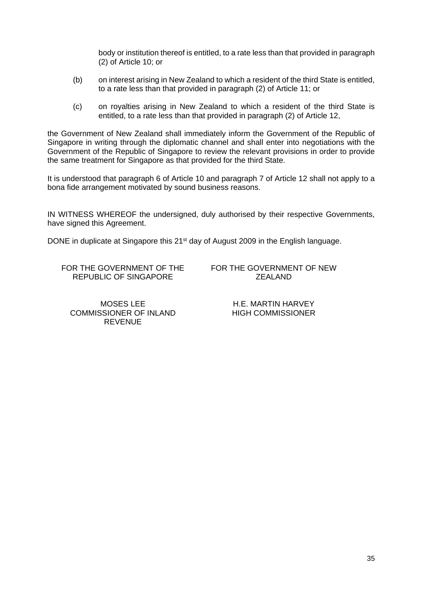body or institution thereof is entitled, to a rate less than that provided in paragraph (2) of Article 10; or

- (b) on interest arising in New Zealand to which a resident of the third State is entitled, to a rate less than that provided in paragraph (2) of Article 11; or
- (c) on royalties arising in New Zealand to which a resident of the third State is entitled, to a rate less than that provided in paragraph (2) of Article 12,

the Government of New Zealand shall immediately inform the Government of the Republic of Singapore in writing through the diplomatic channel and shall enter into negotiations with the Government of the Republic of Singapore to review the relevant provisions in order to provide the same treatment for Singapore as that provided for the third State.

It is understood that paragraph 6 of Article 10 and paragraph 7 of Article 12 shall not apply to a bona fide arrangement motivated by sound business reasons.

IN WITNESS WHEREOF the undersigned, duly authorised by their respective Governments, have signed this Agreement.

DONE in duplicate at Singapore this 21<sup>st</sup> day of August 2009 in the English language.

FOR THE GOVERNMENT OF THE REPUBLIC OF SINGAPORE

FOR THE GOVERNMENT OF NEW ZEALAND

MOSES LEE COMMISSIONER OF INLAND REVENUE

H.E. MARTIN HARVEY HIGH COMMISSIONER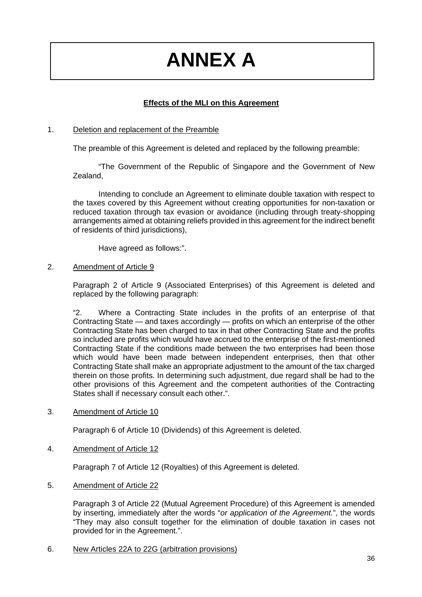# **ANNEX A**

# **Effects of the MLI on this Agreement**

## 1. Deletion and replacement of the Preamble

The preamble of this Agreement is deleted and replaced by the following preamble:

"The Government of the Republic of Singapore and the Government of New Zealand,

Intending to conclude an Agreement to eliminate double taxation with respect to the taxes covered by this Agreement without creating opportunities for non-taxation or reduced taxation through tax evasion or avoidance (including through treaty-shopping arrangements aimed at obtaining reliefs provided in this agreement for the indirect benefit of residents of third jurisdictions),

Have agreed as follows:".

### 2. Amendment of Article 9

Paragraph 2 of Article 9 (Associated Enterprises) of this Agreement is deleted and replaced by the following paragraph:

"2. Where a Contracting State includes in the profits of an enterprise of that Contracting State — and taxes accordingly — profits on which an enterprise of the other Contracting State has been charged to tax in that other Contracting State and the profits so included are profits which would have accrued to the enterprise of the first-mentioned Contracting State if the conditions made between the two enterprises had been those which would have been made between independent enterprises, then that other Contracting State shall make an appropriate adjustment to the amount of the tax charged therein on those profits. In determining such adjustment, due regard shall be had to the other provisions of this Agreement and the competent authorities of the Contracting States shall if necessary consult each other.".

3. Amendment of Article 10

Paragraph 6 of Article 10 (Dividends) of this Agreement is deleted.

4. Amendment of Article 12

Paragraph 7 of Article 12 (Royalties) of this Agreement is deleted.

5. Amendment of Article 22

Paragraph 3 of Article 22 (Mutual Agreement Procedure) of this Agreement is amended by inserting, immediately after the words "*or application of the Agreement.*", the words "They may also consult together for the elimination of double taxation in cases not provided for in the Agreement.".

6. New Articles 22A to 22G (arbitration provisions)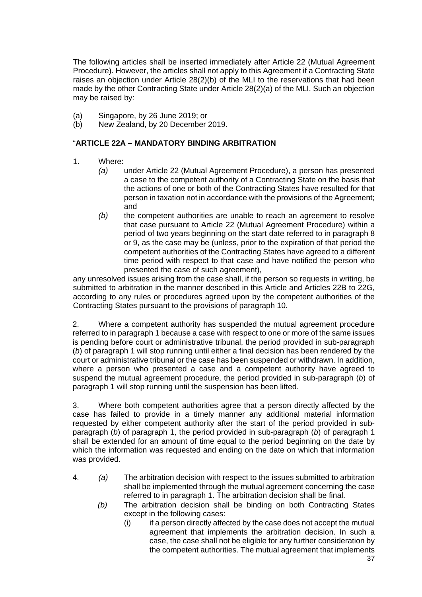The following articles shall be inserted immediately after Article 22 (Mutual Agreement Procedure). However, the articles shall not apply to this Agreement if a Contracting State raises an objection under Article 28(2)(b) of the MLI to the reservations that had been made by the other Contracting State under Article 28(2)(a) of the MLI. Such an objection may be raised by:

- (a) Singapore, by 26 June 2019; or<br>(b) New Zealand, by 20 December :
- New Zealand, by 20 December 2019.

### "**ARTICLE 22A – MANDATORY BINDING ARBITRATION**

- 1. Where:
	- *(a)* under Article 22 (Mutual Agreement Procedure), a person has presented a case to the competent authority of a Contracting State on the basis that the actions of one or both of the Contracting States have resulted for that person in taxation not in accordance with the provisions of the Agreement; and
	- *(b)* the competent authorities are unable to reach an agreement to resolve that case pursuant to Article 22 (Mutual Agreement Procedure) within a period of two years beginning on the start date referred to in paragraph 8 or 9, as the case may be (unless, prior to the expiration of that period the competent authorities of the Contracting States have agreed to a different time period with respect to that case and have notified the person who presented the case of such agreement),

any unresolved issues arising from the case shall, if the person so requests in writing, be submitted to arbitration in the manner described in this Article and Articles 22B to 22G, according to any rules or procedures agreed upon by the competent authorities of the Contracting States pursuant to the provisions of paragraph 10.

2. Where a competent authority has suspended the mutual agreement procedure referred to in paragraph 1 because a case with respect to one or more of the same issues is pending before court or administrative tribunal, the period provided in sub-paragraph (*b*) of paragraph 1 will stop running until either a final decision has been rendered by the court or administrative tribunal or the case has been suspended or withdrawn. In addition, where a person who presented a case and a competent authority have agreed to suspend the mutual agreement procedure, the period provided in sub-paragraph (*b*) of paragraph 1 will stop running until the suspension has been lifted.

3. Where both competent authorities agree that a person directly affected by the case has failed to provide in a timely manner any additional material information requested by either competent authority after the start of the period provided in subparagraph (*b*) of paragraph 1, the period provided in sub-paragraph (*b*) of paragraph 1 shall be extended for an amount of time equal to the period beginning on the date by which the information was requested and ending on the date on which that information was provided.

- 4. *(a)* The arbitration decision with respect to the issues submitted to arbitration shall be implemented through the mutual agreement concerning the case referred to in paragraph 1. The arbitration decision shall be final.
	- *(b)* The arbitration decision shall be binding on both Contracting States except in the following cases:
		- (i) if a person directly affected by the case does not accept the mutual agreement that implements the arbitration decision. In such a case, the case shall not be eligible for any further consideration by the competent authorities. The mutual agreement that implements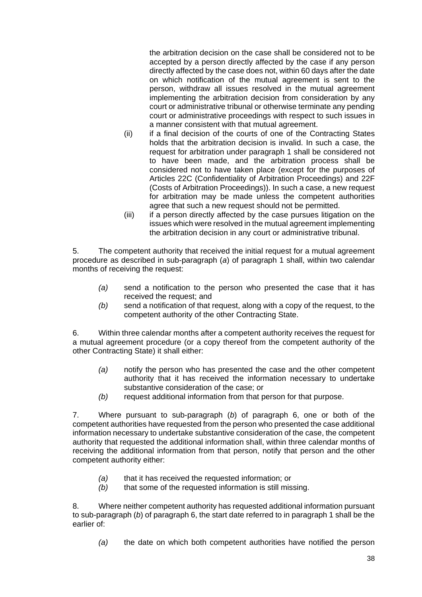the arbitration decision on the case shall be considered not to be accepted by a person directly affected by the case if any person directly affected by the case does not, within 60 days after the date on which notification of the mutual agreement is sent to the person, withdraw all issues resolved in the mutual agreement implementing the arbitration decision from consideration by any court or administrative tribunal or otherwise terminate any pending court or administrative proceedings with respect to such issues in a manner consistent with that mutual agreement.

- (ii) if a final decision of the courts of one of the Contracting States holds that the arbitration decision is invalid. In such a case, the request for arbitration under paragraph 1 shall be considered not to have been made, and the arbitration process shall be considered not to have taken place (except for the purposes of Articles 22C (Confidentiality of Arbitration Proceedings) and 22F (Costs of Arbitration Proceedings)). In such a case, a new request for arbitration may be made unless the competent authorities agree that such a new request should not be permitted.
- (iii) if a person directly affected by the case pursues litigation on the issues which were resolved in the mutual agreement implementing the arbitration decision in any court or administrative tribunal.

5. The competent authority that received the initial request for a mutual agreement procedure as described in sub-paragraph (*a*) of paragraph 1 shall, within two calendar months of receiving the request:

- *(a)* send a notification to the person who presented the case that it has received the request; and
- *(b)* send a notification of that request, along with a copy of the request, to the competent authority of the other Contracting State.

6. Within three calendar months after a competent authority receives the request for a mutual agreement procedure (or a copy thereof from the competent authority of the other Contracting State) it shall either:

- *(a)* notify the person who has presented the case and the other competent authority that it has received the information necessary to undertake substantive consideration of the case; or
- *(b)* request additional information from that person for that purpose.

7. Where pursuant to sub-paragraph (*b*) of paragraph 6, one or both of the competent authorities have requested from the person who presented the case additional information necessary to undertake substantive consideration of the case, the competent authority that requested the additional information shall, within three calendar months of receiving the additional information from that person, notify that person and the other competent authority either:

- *(a)* that it has received the requested information; or
- *(b)* that some of the requested information is still missing.

8. Where neither competent authority has requested additional information pursuant to sub-paragraph (*b*) of paragraph 6, the start date referred to in paragraph 1 shall be the earlier of:

*(a)* the date on which both competent authorities have notified the person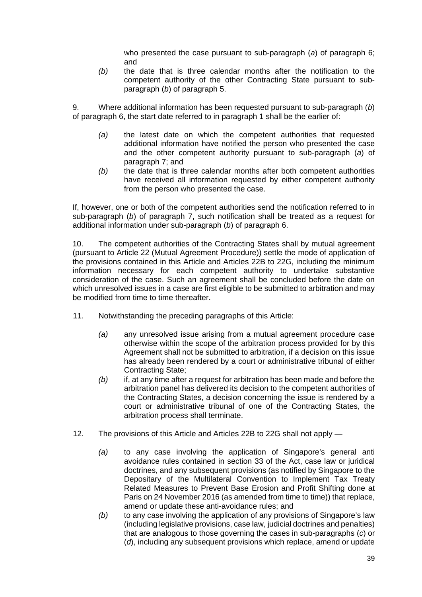who presented the case pursuant to sub-paragraph (*a*) of paragraph 6; and

*(b)* the date that is three calendar months after the notification to the competent authority of the other Contracting State pursuant to subparagraph (*b*) of paragraph 5.

9. Where additional information has been requested pursuant to sub-paragraph (*b*) of paragraph 6, the start date referred to in paragraph 1 shall be the earlier of:

- *(a)* the latest date on which the competent authorities that requested additional information have notified the person who presented the case and the other competent authority pursuant to sub-paragraph (*a*) of paragraph 7; and
- *(b)* the date that is three calendar months after both competent authorities have received all information requested by either competent authority from the person who presented the case.

If, however, one or both of the competent authorities send the notification referred to in sub-paragraph (*b*) of paragraph 7, such notification shall be treated as a request for additional information under sub-paragraph (*b*) of paragraph 6.

10. The competent authorities of the Contracting States shall by mutual agreement (pursuant to Article 22 (Mutual Agreement Procedure)) settle the mode of application of the provisions contained in this Article and Articles 22B to 22G, including the minimum information necessary for each competent authority to undertake substantive consideration of the case. Such an agreement shall be concluded before the date on which unresolved issues in a case are first eligible to be submitted to arbitration and may be modified from time to time thereafter.

- 11. Notwithstanding the preceding paragraphs of this Article:
	- *(a)* any unresolved issue arising from a mutual agreement procedure case otherwise within the scope of the arbitration process provided for by this Agreement shall not be submitted to arbitration, if a decision on this issue has already been rendered by a court or administrative tribunal of either Contracting State;
	- *(b)* if, at any time after a request for arbitration has been made and before the arbitration panel has delivered its decision to the competent authorities of the Contracting States, a decision concerning the issue is rendered by a court or administrative tribunal of one of the Contracting States, the arbitration process shall terminate.
- 12. The provisions of this Article and Articles 22B to 22G shall not apply
	- *(a)* to any case involving the application of Singapore's general anti avoidance rules contained in section 33 of the Act, case law or juridical doctrines, and any subsequent provisions (as notified by Singapore to the Depositary of the Multilateral Convention to Implement Tax Treaty Related Measures to Prevent Base Erosion and Profit Shifting done at Paris on 24 November 2016 (as amended from time to time)) that replace, amend or update these anti-avoidance rules; and
	- *(b)* to any case involving the application of any provisions of Singapore's law (including legislative provisions, case law, judicial doctrines and penalties) that are analogous to those governing the cases in sub-paragraphs (*c*) or (*d*), including any subsequent provisions which replace, amend or update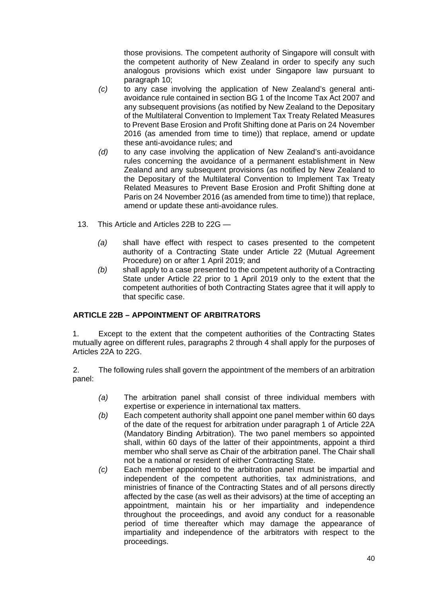those provisions. The competent authority of Singapore will consult with the competent authority of New Zealand in order to specify any such analogous provisions which exist under Singapore law pursuant to paragraph 10;

- *(c)* to any case involving the application of New Zealand's general antiavoidance rule contained in section BG 1 of the Income Tax Act 2007 and any subsequent provisions (as notified by New Zealand to the Depositary of the Multilateral Convention to Implement Tax Treaty Related Measures to Prevent Base Erosion and Profit Shifting done at Paris on 24 November 2016 (as amended from time to time)) that replace, amend or update these anti-avoidance rules; and
- *(d)* to any case involving the application of New Zealand's anti-avoidance rules concerning the avoidance of a permanent establishment in New Zealand and any subsequent provisions (as notified by New Zealand to the Depositary of the Multilateral Convention to Implement Tax Treaty Related Measures to Prevent Base Erosion and Profit Shifting done at Paris on 24 November 2016 (as amended from time to time)) that replace, amend or update these anti-avoidance rules.
- 13. This Article and Articles 22B to 22G
	- *(a)* shall have effect with respect to cases presented to the competent authority of a Contracting State under Article 22 (Mutual Agreement Procedure) on or after 1 April 2019; and
	- *(b)* shall apply to a case presented to the competent authority of a Contracting State under Article 22 prior to 1 April 2019 only to the extent that the competent authorities of both Contracting States agree that it will apply to that specific case.

## **ARTICLE 22B – APPOINTMENT OF ARBITRATORS**

1. Except to the extent that the competent authorities of the Contracting States mutually agree on different rules, paragraphs 2 through 4 shall apply for the purposes of Articles 22A to 22G.

2. The following rules shall govern the appointment of the members of an arbitration panel:

- *(a)* The arbitration panel shall consist of three individual members with expertise or experience in international tax matters.
- *(b)* Each competent authority shall appoint one panel member within 60 days of the date of the request for arbitration under paragraph 1 of Article 22A (Mandatory Binding Arbitration). The two panel members so appointed shall, within 60 days of the latter of their appointments, appoint a third member who shall serve as Chair of the arbitration panel. The Chair shall not be a national or resident of either Contracting State.
- *(c)* Each member appointed to the arbitration panel must be impartial and independent of the competent authorities, tax administrations, and ministries of finance of the Contracting States and of all persons directly affected by the case (as well as their advisors) at the time of accepting an appointment, maintain his or her impartiality and independence throughout the proceedings, and avoid any conduct for a reasonable period of time thereafter which may damage the appearance of impartiality and independence of the arbitrators with respect to the proceedings.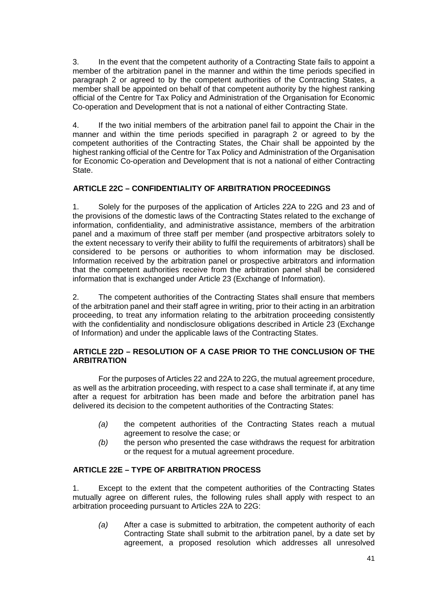3. In the event that the competent authority of a Contracting State fails to appoint a member of the arbitration panel in the manner and within the time periods specified in paragraph 2 or agreed to by the competent authorities of the Contracting States, a member shall be appointed on behalf of that competent authority by the highest ranking official of the Centre for Tax Policy and Administration of the Organisation for Economic Co-operation and Development that is not a national of either Contracting State.

4. If the two initial members of the arbitration panel fail to appoint the Chair in the manner and within the time periods specified in paragraph 2 or agreed to by the competent authorities of the Contracting States, the Chair shall be appointed by the highest ranking official of the Centre for Tax Policy and Administration of the Organisation for Economic Co-operation and Development that is not a national of either Contracting State.

## **ARTICLE 22C – CONFIDENTIALITY OF ARBITRATION PROCEEDINGS**

1. Solely for the purposes of the application of Articles 22A to 22G and 23 and of the provisions of the domestic laws of the Contracting States related to the exchange of information, confidentiality, and administrative assistance, members of the arbitration panel and a maximum of three staff per member (and prospective arbitrators solely to the extent necessary to verify their ability to fulfil the requirements of arbitrators) shall be considered to be persons or authorities to whom information may be disclosed. Information received by the arbitration panel or prospective arbitrators and information that the competent authorities receive from the arbitration panel shall be considered information that is exchanged under Article 23 (Exchange of Information).

2. The competent authorities of the Contracting States shall ensure that members of the arbitration panel and their staff agree in writing, prior to their acting in an arbitration proceeding, to treat any information relating to the arbitration proceeding consistently with the confidentiality and nondisclosure obligations described in Article 23 (Exchange of Information) and under the applicable laws of the Contracting States.

## **ARTICLE 22D – RESOLUTION OF A CASE PRIOR TO THE CONCLUSION OF THE ARBITRATION**

For the purposes of Articles 22 and 22A to 22G, the mutual agreement procedure, as well as the arbitration proceeding, with respect to a case shall terminate if, at any time after a request for arbitration has been made and before the arbitration panel has delivered its decision to the competent authorities of the Contracting States:

- *(a)* the competent authorities of the Contracting States reach a mutual agreement to resolve the case; or
- *(b)* the person who presented the case withdraws the request for arbitration or the request for a mutual agreement procedure.

### **ARTICLE 22E – TYPE OF ARBITRATION PROCESS**

1. Except to the extent that the competent authorities of the Contracting States mutually agree on different rules, the following rules shall apply with respect to an arbitration proceeding pursuant to Articles 22A to 22G:

*(a)* After a case is submitted to arbitration, the competent authority of each Contracting State shall submit to the arbitration panel, by a date set by agreement, a proposed resolution which addresses all unresolved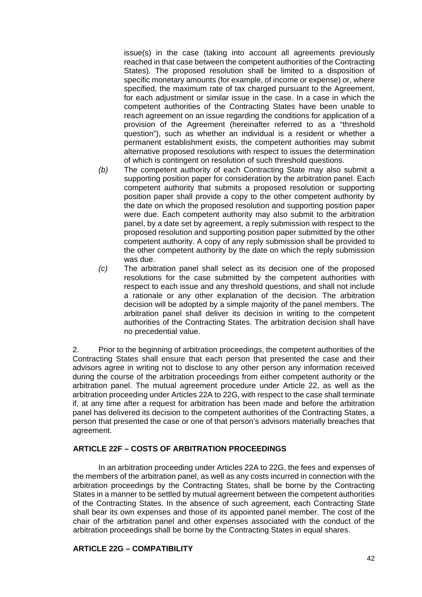issue(s) in the case (taking into account all agreements previously reached in that case between the competent authorities of the Contracting States). The proposed resolution shall be limited to a disposition of specific monetary amounts (for example, of income or expense) or, where specified, the maximum rate of tax charged pursuant to the Agreement, for each adjustment or similar issue in the case. In a case in which the competent authorities of the Contracting States have been unable to reach agreement on an issue regarding the conditions for application of a provision of the Agreement (hereinafter referred to as a "threshold question"), such as whether an individual is a resident or whether a permanent establishment exists, the competent authorities may submit alternative proposed resolutions with respect to issues the determination of which is contingent on resolution of such threshold questions.

- *(b)* The competent authority of each Contracting State may also submit a supporting position paper for consideration by the arbitration panel. Each competent authority that submits a proposed resolution or supporting position paper shall provide a copy to the other competent authority by the date on which the proposed resolution and supporting position paper were due. Each competent authority may also submit to the arbitration panel, by a date set by agreement, a reply submission with respect to the proposed resolution and supporting position paper submitted by the other competent authority. A copy of any reply submission shall be provided to the other competent authority by the date on which the reply submission was due.
- *(c)* The arbitration panel shall select as its decision one of the proposed resolutions for the case submitted by the competent authorities with respect to each issue and any threshold questions, and shall not include a rationale or any other explanation of the decision. The arbitration decision will be adopted by a simple majority of the panel members. The arbitration panel shall deliver its decision in writing to the competent authorities of the Contracting States. The arbitration decision shall have no precedential value.

2. Prior to the beginning of arbitration proceedings, the competent authorities of the Contracting States shall ensure that each person that presented the case and their advisors agree in writing not to disclose to any other person any information received during the course of the arbitration proceedings from either competent authority or the arbitration panel. The mutual agreement procedure under Article 22, as well as the arbitration proceeding under Articles 22A to 22G, with respect to the case shall terminate if, at any time after a request for arbitration has been made and before the arbitration panel has delivered its decision to the competent authorities of the Contracting States, a person that presented the case or one of that person's advisors materially breaches that agreement.

### **ARTICLE 22F – COSTS OF ARBITRATION PROCEEDINGS**

In an arbitration proceeding under Articles 22A to 22G, the fees and expenses of the members of the arbitration panel, as well as any costs incurred in connection with the arbitration proceedings by the Contracting States, shall be borne by the Contracting States in a manner to be settled by mutual agreement between the competent authorities of the Contracting States. In the absence of such agreement, each Contracting State shall bear its own expenses and those of its appointed panel member. The cost of the chair of the arbitration panel and other expenses associated with the conduct of the arbitration proceedings shall be borne by the Contracting States in equal shares.

### **ARTICLE 22G – COMPATIBILITY**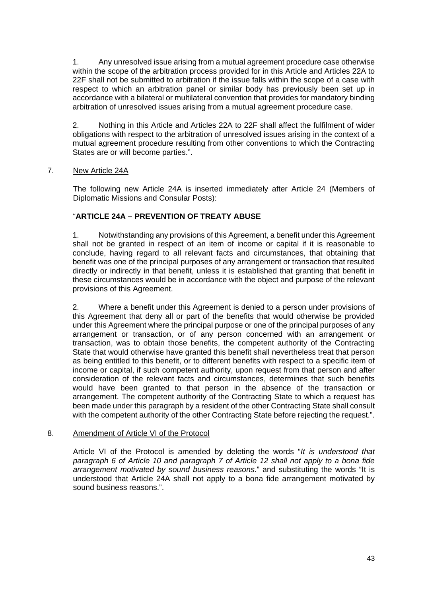1. Any unresolved issue arising from a mutual agreement procedure case otherwise within the scope of the arbitration process provided for in this Article and Articles 22A to 22F shall not be submitted to arbitration if the issue falls within the scope of a case with respect to which an arbitration panel or similar body has previously been set up in accordance with a bilateral or multilateral convention that provides for mandatory binding arbitration of unresolved issues arising from a mutual agreement procedure case.

2. Nothing in this Article and Articles 22A to 22F shall affect the fulfilment of wider obligations with respect to the arbitration of unresolved issues arising in the context of a mutual agreement procedure resulting from other conventions to which the Contracting States are or will become parties.".

## 7. New Article 24A

The following new Article 24A is inserted immediately after Article 24 (Members of Diplomatic Missions and Consular Posts):

## "**ARTICLE 24A – PREVENTION OF TREATY ABUSE**

1. Notwithstanding any provisions of this Agreement, a benefit under this Agreement shall not be granted in respect of an item of income or capital if it is reasonable to conclude, having regard to all relevant facts and circumstances, that obtaining that benefit was one of the principal purposes of any arrangement or transaction that resulted directly or indirectly in that benefit, unless it is established that granting that benefit in these circumstances would be in accordance with the object and purpose of the relevant provisions of this Agreement.

2. Where a benefit under this Agreement is denied to a person under provisions of this Agreement that deny all or part of the benefits that would otherwise be provided under this Agreement where the principal purpose or one of the principal purposes of any arrangement or transaction, or of any person concerned with an arrangement or transaction, was to obtain those benefits, the competent authority of the Contracting State that would otherwise have granted this benefit shall nevertheless treat that person as being entitled to this benefit, or to different benefits with respect to a specific item of income or capital, if such competent authority, upon request from that person and after consideration of the relevant facts and circumstances, determines that such benefits would have been granted to that person in the absence of the transaction or arrangement. The competent authority of the Contracting State to which a request has been made under this paragraph by a resident of the other Contracting State shall consult with the competent authority of the other Contracting State before rejecting the request.".

### 8. Amendment of Article VI of the Protocol

Article VI of the Protocol is amended by deleting the words "*It is understood that paragraph 6 of Article 10 and paragraph 7 of Article 12 shall not apply to a bona fide arrangement motivated by sound business reasons*." and substituting the words "It is understood that Article 24A shall not apply to a bona fide arrangement motivated by sound business reasons.".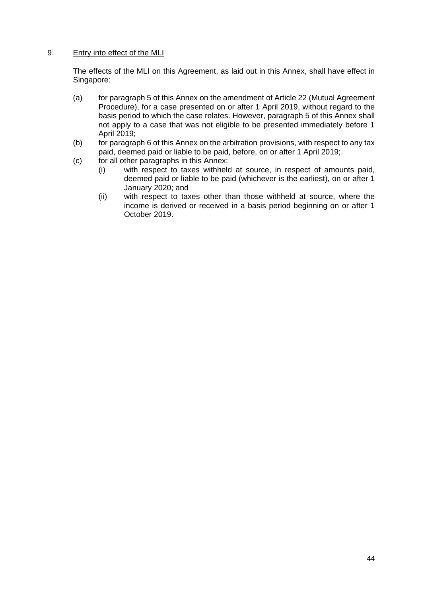## 9. Entry into effect of the MLI

The effects of the MLI on this Agreement, as laid out in this Annex, shall have effect in Singapore:

- (a) for paragraph 5 of this Annex on the amendment of Article 22 (Mutual Agreement Procedure), for a case presented on or after 1 April 2019, without regard to the basis period to which the case relates. However, paragraph 5 of this Annex shall not apply to a case that was not eligible to be presented immediately before 1 April 2019;
- (b) for paragraph 6 of this Annex on the arbitration provisions, with respect to any tax paid, deemed paid or liable to be paid, before, on or after 1 April 2019;
- (c) for all other paragraphs in this Annex:
	- (i) with respect to taxes withheld at source, in respect of amounts paid, deemed paid or liable to be paid (whichever is the earliest), on or after 1 January 2020; and
	- (ii) with respect to taxes other than those withheld at source, where the income is derived or received in a basis period beginning on or after 1 October 2019.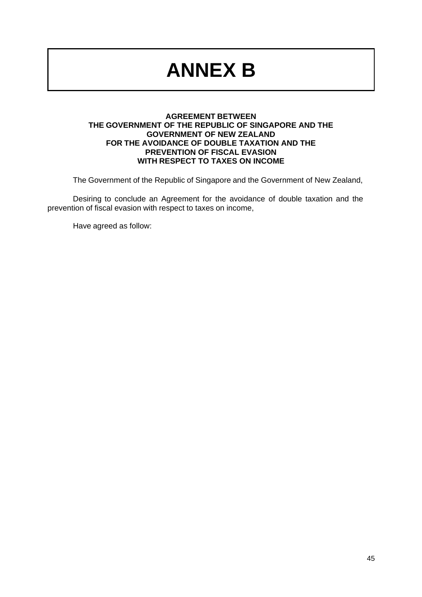# **ANNEX B**

### **AGREEMENT BETWEEN THE GOVERNMENT OF THE REPUBLIC OF SINGAPORE AND THE GOVERNMENT OF NEW ZEALAND FOR THE AVOIDANCE OF DOUBLE TAXATION AND THE PREVENTION OF FISCAL EVASION WITH RESPECT TO TAXES ON INCOME**

The Government of the Republic of Singapore and the Government of New Zealand,

Desiring to conclude an Agreement for the avoidance of double taxation and the prevention of fiscal evasion with respect to taxes on income,

Have agreed as follow: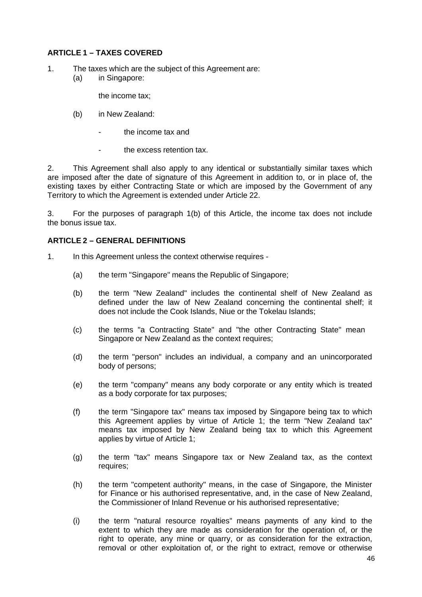## **ARTICLE 1 – TAXES COVERED**

- 1. The taxes which are the subject of this Agreement are:
	- (a) in Singapore:

the income tax;

- (b) in New Zealand:
	- the income tax and
	- the excess retention tax.

2. This Agreement shall also apply to any identical or substantially similar taxes which are imposed after the date of signature of this Agreement in addition to, or in place of, the existing taxes by either Contracting State or which are imposed by the Government of any Territory to which the Agreement is extended under Article 22.

3. For the purposes of paragraph 1(b) of this Article, the income tax does not include the bonus issue tax.

## **ARTICLE 2 – GENERAL DEFINITIONS**

- 1. In this Agreement unless the context otherwise requires
	- (a) the term "Singapore" means the Republic of Singapore;
	- (b) the term "New Zealand" includes the continental shelf of New Zealand as defined under the law of New Zealand concerning the continental shelf; it does not include the Cook Islands, Niue or the Tokelau Islands;
	- (c) the terms "a Contracting State" and "the other Contracting State" mean Singapore or New Zealand as the context requires;
	- (d) the term "person" includes an individual, a company and an unincorporated body of persons;
	- (e) the term "company" means any body corporate or any entity which is treated as a body corporate for tax purposes;
	- (f) the term "Singapore tax" means tax imposed by Singapore being tax to which this Agreement applies by virtue of Article 1; the term "New Zealand tax" means tax imposed by New Zealand being tax to which this Agreement applies by virtue of Article 1;
	- (g) the term "tax" means Singapore tax or New Zealand tax, as the context requires;
	- (h) the term "competent authority" means, in the case of Singapore, the Minister for Finance or his authorised representative, and, in the case of New Zealand, the Commissioner of Inland Revenue or his authorised representative;
	- (i) the term "natural resource royalties" means payments of any kind to the extent to which they are made as consideration for the operation of, or the right to operate, any mine or quarry, or as consideration for the extraction, removal or other exploitation of, or the right to extract, remove or otherwise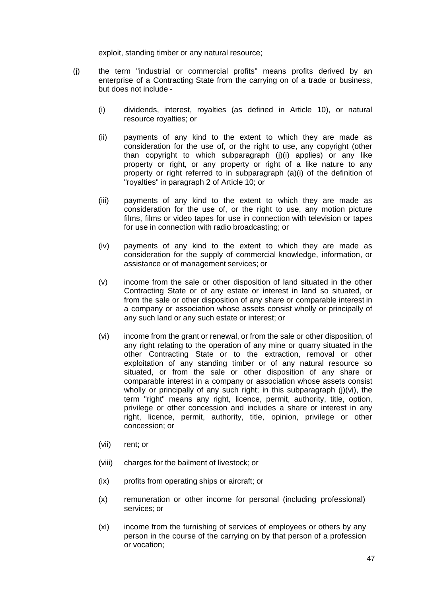exploit, standing timber or any natural resource;

- (j) the term "industrial or commercial profits" means profits derived by an enterprise of a Contracting State from the carrying on of a trade or business, but does not include -
	- (i) dividends, interest, royalties (as defined in Article 10), or natural resource royalties; or
	- (ii) payments of any kind to the extent to which they are made as consideration for the use of, or the right to use, any copyright (other than copyright to which subparagraph (j)(i) applies) or any like property or right, or any property or right of a like nature to any property or right referred to in subparagraph (a)(i) of the definition of "royalties" in paragraph 2 of Article 10; or
	- (iii) payments of any kind to the extent to which they are made as consideration for the use of, or the right to use, any motion picture films, films or video tapes for use in connection with television or tapes for use in connection with radio broadcasting; or
	- (iv) payments of any kind to the extent to which they are made as consideration for the supply of commercial knowledge, information, or assistance or of management services; or
	- (v) income from the sale or other disposition of land situated in the other Contracting State or of any estate or interest in land so situated, or from the sale or other disposition of any share or comparable interest in a company or association whose assets consist wholly or principally of any such land or any such estate or interest; or
	- (vi) income from the grant or renewal, or from the sale or other disposition, of any right relating to the operation of any mine or quarry situated in the other Contracting State or to the extraction, removal or other exploitation of any standing timber or of any natural resource so situated, or from the sale or other disposition of any share or comparable interest in a company or association whose assets consist wholly or principally of any such right; in this subparagraph  $(i)(vi)$ , the term "right" means any right, licence, permit, authority, title, option, privilege or other concession and includes a share or interest in any right, licence, permit, authority, title, opinion, privilege or other concession; or
	- (vii) rent; or
	- (viii) charges for the bailment of livestock; or
	- (ix) profits from operating ships or aircraft; or
	- (x) remuneration or other income for personal (including professional) services; or
	- (xi) income from the furnishing of services of employees or others by any person in the course of the carrying on by that person of a profession or vocation;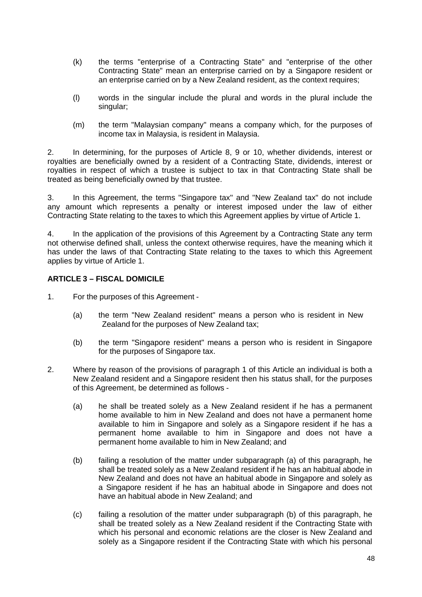- (k) the terms "enterprise of a Contracting State" and "enterprise of the other Contracting State" mean an enterprise carried on by a Singapore resident or an enterprise carried on by a New Zealand resident, as the context requires;
- (l) words in the singular include the plural and words in the plural include the singular;
- (m) the term "Malaysian company" means a company which, for the purposes of income tax in Malaysia, is resident in Malaysia.

2. In determining, for the purposes of Article 8, 9 or 10, whether dividends, interest or royalties are beneficially owned by a resident of a Contracting State, dividends, interest or royalties in respect of which a trustee is subject to tax in that Contracting State shall be treated as being beneficially owned by that trustee.

3. In this Agreement, the terms "Singapore tax" and "New Zealand tax" do not include any amount which represents a penalty or interest imposed under the law of either Contracting State relating to the taxes to which this Agreement applies by virtue of Article 1.

4. In the application of the provisions of this Agreement by a Contracting State any term not otherwise defined shall, unless the context otherwise requires, have the meaning which it has under the laws of that Contracting State relating to the taxes to which this Agreement applies by virtue of Article 1.

## **ARTICLE 3 – FISCAL DOMICILE**

- 1. For the purposes of this Agreement
	- (a) the term "New Zealand resident" means a person who is resident in New Zealand for the purposes of New Zealand tax;
	- (b) the term "Singapore resident" means a person who is resident in Singapore for the purposes of Singapore tax.
- 2. Where by reason of the provisions of paragraph 1 of this Article an individual is both a New Zealand resident and a Singapore resident then his status shall, for the purposes of this Agreement, be determined as follows -
	- (a) he shall be treated solely as a New Zealand resident if he has a permanent home available to him in New Zealand and does not have a permanent home available to him in Singapore and solely as a Singapore resident if he has a permanent home available to him in Singapore and does not have a permanent home available to him in New Zealand; and
	- (b) failing a resolution of the matter under subparagraph (a) of this paragraph, he shall be treated solely as a New Zealand resident if he has an habitual abode in New Zealand and does not have an habitual abode in Singapore and solely as a Singapore resident if he has an habitual abode in Singapore and does not have an habitual abode in New Zealand; and
	- (c) failing a resolution of the matter under subparagraph (b) of this paragraph, he shall be treated solely as a New Zealand resident if the Contracting State with which his personal and economic relations are the closer is New Zealand and solely as a Singapore resident if the Contracting State with which his personal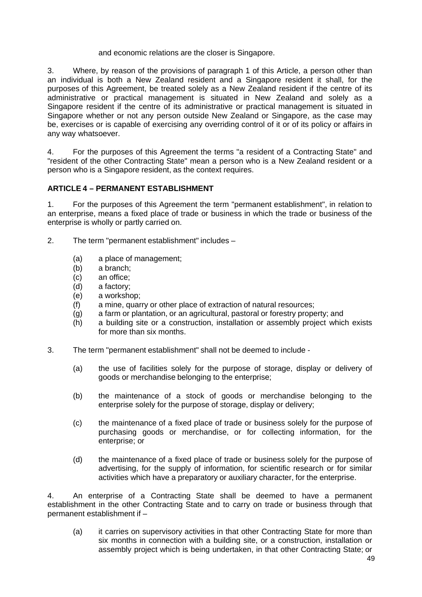### and economic relations are the closer is Singapore.

3. Where, by reason of the provisions of paragraph 1 of this Article, a person other than an individual is both a New Zealand resident and a Singapore resident it shall, for the purposes of this Agreement, be treated solely as a New Zealand resident if the centre of its administrative or practical management is situated in New Zealand and solely as a Singapore resident if the centre of its administrative or practical management is situated in Singapore whether or not any person outside New Zealand or Singapore, as the case may be, exercises or is capable of exercising any overriding control of it or of its policy or affairs in any way whatsoever.

4. For the purposes of this Agreement the terms "a resident of a Contracting State" and "resident of the other Contracting State" mean a person who is a New Zealand resident or a person who is a Singapore resident, as the context requires.

## **ARTICLE 4 – PERMANENT ESTABLISHMENT**

1. For the purposes of this Agreement the term "permanent establishment", in relation to an enterprise, means a fixed place of trade or business in which the trade or business of the enterprise is wholly or partly carried on.

- 2. The term "permanent establishment" includes
	- (a) a place of management;
	- (b) a branch;
	- (c) an office;
	- (d) a factory;
	- (e) a workshop;
	- (f) a mine, quarry or other place of extraction of natural resources;
	- (g) a farm or plantation, or an agricultural, pastoral or forestry property; and
	- (h) a building site or a construction, installation or assembly project which exists for more than six months.
- 3. The term "permanent establishment" shall not be deemed to include
	- (a) the use of facilities solely for the purpose of storage, display or delivery of goods or merchandise belonging to the enterprise;
	- (b) the maintenance of a stock of goods or merchandise belonging to the enterprise solely for the purpose of storage, display or delivery;
	- (c) the maintenance of a fixed place of trade or business solely for the purpose of purchasing goods or merchandise, or for collecting information, for the enterprise; or
	- (d) the maintenance of a fixed place of trade or business solely for the purpose of advertising, for the supply of information, for scientific research or for similar activities which have a preparatory or auxiliary character, for the enterprise.

4. An enterprise of a Contracting State shall be deemed to have a permanent establishment in the other Contracting State and to carry on trade or business through that permanent establishment if –

(a) it carries on supervisory activities in that other Contracting State for more than six months in connection with a building site, or a construction, installation or assembly project which is being undertaken, in that other Contracting State; or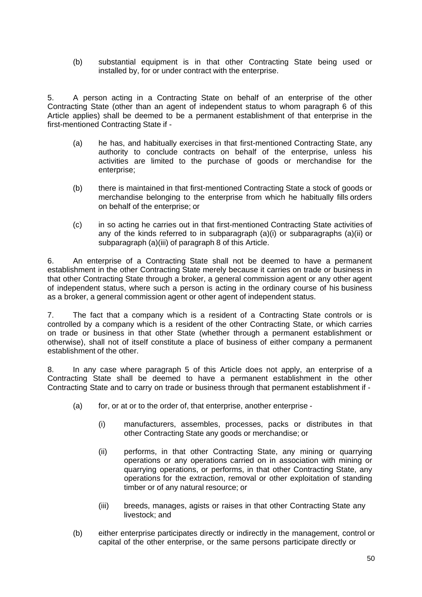(b) substantial equipment is in that other Contracting State being used or installed by, for or under contract with the enterprise.

5. A person acting in a Contracting State on behalf of an enterprise of the other Contracting State (other than an agent of independent status to whom paragraph 6 of this Article applies) shall be deemed to be a permanent establishment of that enterprise in the first-mentioned Contracting State if -

- (a) he has, and habitually exercises in that first-mentioned Contracting State, any authority to conclude contracts on behalf of the enterprise, unless his activities are limited to the purchase of goods or merchandise for the enterprise;
- (b) there is maintained in that first-mentioned Contracting State a stock of goods or merchandise belonging to the enterprise from which he habitually fills orders on behalf of the enterprise; or
- (c) in so acting he carries out in that first-mentioned Contracting State activities of any of the kinds referred to in subparagraph (a)(i) or subparagraphs (a)(ii) or subparagraph (a)(iii) of paragraph 8 of this Article.

6. An enterprise of a Contracting State shall not be deemed to have a permanent establishment in the other Contracting State merely because it carries on trade or business in that other Contracting State through a broker, a general commission agent or any other agent of independent status, where such a person is acting in the ordinary course of his business as a broker, a general commission agent or other agent of independent status.

7. The fact that a company which is a resident of a Contracting State controls or is controlled by a company which is a resident of the other Contracting State, or which carries on trade or business in that other State (whether through a permanent establishment or otherwise), shall not of itself constitute a place of business of either company a permanent establishment of the other.

8. In any case where paragraph 5 of this Article does not apply, an enterprise of a Contracting State shall be deemed to have a permanent establishment in the other Contracting State and to carry on trade or business through that permanent establishment if -

- (a) for, or at or to the order of, that enterprise, another enterprise
	- (i) manufacturers, assembles, processes, packs or distributes in that other Contracting State any goods or merchandise; or
	- (ii) performs, in that other Contracting State, any mining or quarrying operations or any operations carried on in association with mining or quarrying operations, or performs, in that other Contracting State, any operations for the extraction, removal or other exploitation of standing timber or of any natural resource; or
	- (iii) breeds, manages, agists or raises in that other Contracting State any livestock; and
- (b) either enterprise participates directly or indirectly in the management, control or capital of the other enterprise, or the same persons participate directly or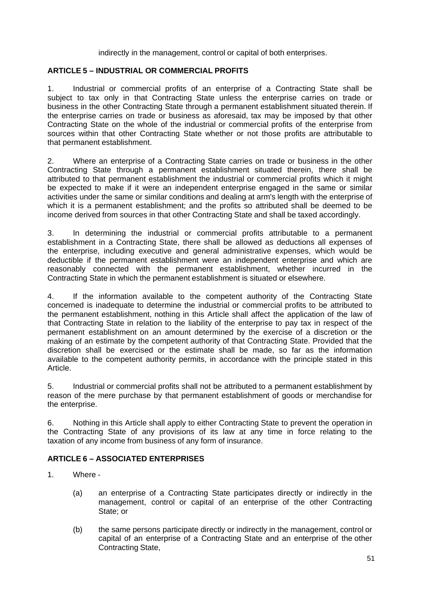indirectly in the management, control or capital of both enterprises.

## **ARTICLE 5 – INDUSTRIAL OR COMMERCIAL PROFITS**

1. Industrial or commercial profits of an enterprise of a Contracting State shall be subject to tax only in that Contracting State unless the enterprise carries on trade or business in the other Contracting State through a permanent establishment situated therein. If the enterprise carries on trade or business as aforesaid, tax may be imposed by that other Contracting State on the whole of the industrial or commercial profits of the enterprise from sources within that other Contracting State whether or not those profits are attributable to that permanent establishment.

2. Where an enterprise of a Contracting State carries on trade or business in the other Contracting State through a permanent establishment situated therein, there shall be attributed to that permanent establishment the industrial or commercial profits which it might be expected to make if it were an independent enterprise engaged in the same or similar activities under the same or similar conditions and dealing at arm's length with the enterprise of which it is a permanent establishment; and the profits so attributed shall be deemed to be income derived from sources in that other Contracting State and shall be taxed accordingly.

3. In determining the industrial or commercial profits attributable to a permanent establishment in a Contracting State, there shall be allowed as deductions all expenses of the enterprise, including executive and general administrative expenses, which would be deductible if the permanent establishment were an independent enterprise and which are reasonably connected with the permanent establishment, whether incurred in the Contracting State in which the permanent establishment is situated or elsewhere.

4. If the information available to the competent authority of the Contracting State concerned is inadequate to determine the industrial or commercial profits to be attributed to the permanent establishment, nothing in this Article shall affect the application of the law of that Contracting State in relation to the liability of the enterprise to pay tax in respect of the permanent establishment on an amount determined by the exercise of a discretion or the making of an estimate by the competent authority of that Contracting State. Provided that the discretion shall be exercised or the estimate shall be made, so far as the information available to the competent authority permits, in accordance with the principle stated in this Article.

5. Industrial or commercial profits shall not be attributed to a permanent establishment by reason of the mere purchase by that permanent establishment of goods or merchandise for the enterprise.

6. Nothing in this Article shall apply to either Contracting State to prevent the operation in the Contracting State of any provisions of its law at any time in force relating to the taxation of any income from business of any form of insurance.

## **ARTICLE 6 – ASSOCIATED ENTERPRISES**

- 1. Where
	- (a) an enterprise of a Contracting State participates directly or indirectly in the management, control or capital of an enterprise of the other Contracting State; or
	- (b) the same persons participate directly or indirectly in the management, control or capital of an enterprise of a Contracting State and an enterprise of the other Contracting State,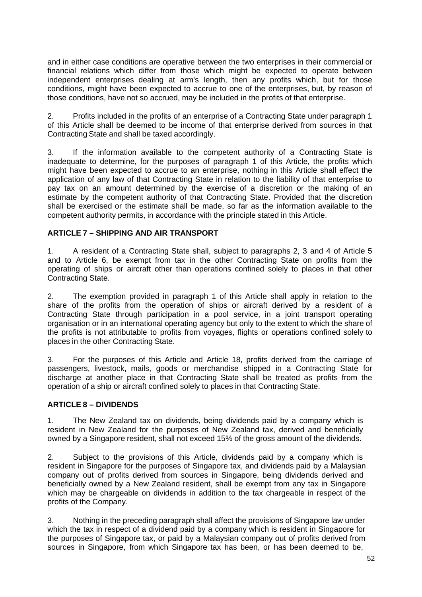and in either case conditions are operative between the two enterprises in their commercial or financial relations which differ from those which might be expected to operate between independent enterprises dealing at arm's length, then any profits which, but for those conditions, might have been expected to accrue to one of the enterprises, but, by reason of those conditions, have not so accrued, may be included in the profits of that enterprise.

2. Profits included in the profits of an enterprise of a Contracting State under paragraph 1 of this Article shall be deemed to be income of that enterprise derived from sources in that Contracting State and shall be taxed accordingly.

3. If the information available to the competent authority of a Contracting State is inadequate to determine, for the purposes of paragraph 1 of this Article, the profits which might have been expected to accrue to an enterprise, nothing in this Article shall effect the application of any law of that Contracting State in relation to the liability of that enterprise to pay tax on an amount determined by the exercise of a discretion or the making of an estimate by the competent authority of that Contracting State. Provided that the discretion shall be exercised or the estimate shall be made, so far as the information available to the competent authority permits, in accordance with the principle stated in this Article.

## **ARTICLE 7 – SHIPPING AND AIR TRANSPORT**

1. A resident of a Contracting State shall, subject to paragraphs 2, 3 and 4 of Article 5 and to Article 6, be exempt from tax in the other Contracting State on profits from the operating of ships or aircraft other than operations confined solely to places in that other Contracting State.

2. The exemption provided in paragraph 1 of this Article shall apply in relation to the share of the profits from the operation of ships or aircraft derived by a resident of a Contracting State through participation in a pool service, in a joint transport operating organisation or in an international operating agency but only to the extent to which the share of the profits is not attributable to profits from voyages, flights or operations confined solely to places in the other Contracting State.

3. For the purposes of this Article and Article 18, profits derived from the carriage of passengers, livestock, mails, goods or merchandise shipped in a Contracting State for discharge at another place in that Contracting State shall be treated as profits from the operation of a ship or aircraft confined solely to places in that Contracting State.

### **ARTICLE 8 – DIVIDENDS**

1. The New Zealand tax on dividends, being dividends paid by a company which is resident in New Zealand for the purposes of New Zealand tax, derived and beneficially owned by a Singapore resident, shall not exceed 15% of the gross amount of the dividends.

2. Subject to the provisions of this Article, dividends paid by a company which is resident in Singapore for the purposes of Singapore tax, and dividends paid by a Malaysian company out of profits derived from sources in Singapore, being dividends derived and beneficially owned by a New Zealand resident, shall be exempt from any tax in Singapore which may be chargeable on dividends in addition to the tax chargeable in respect of the profits of the Company.

3. Nothing in the preceding paragraph shall affect the provisions of Singapore law under which the tax in respect of a dividend paid by a company which is resident in Singapore for the purposes of Singapore tax, or paid by a Malaysian company out of profits derived from sources in Singapore, from which Singapore tax has been, or has been deemed to be,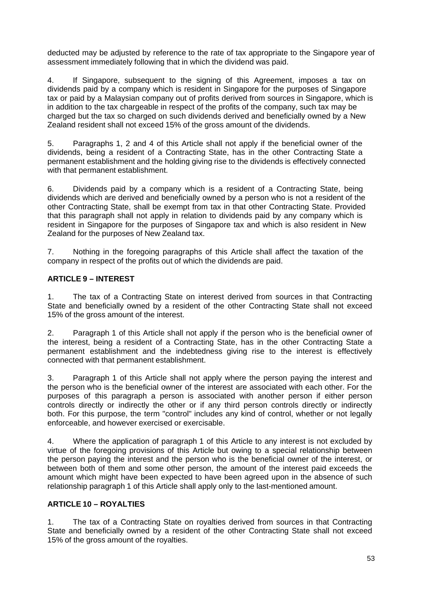deducted may be adjusted by reference to the rate of tax appropriate to the Singapore year of assessment immediately following that in which the dividend was paid.

4. If Singapore, subsequent to the signing of this Agreement, imposes a tax on dividends paid by a company which is resident in Singapore for the purposes of Singapore tax or paid by a Malaysian company out of profits derived from sources in Singapore, which is in addition to the tax chargeable in respect of the profits of the company, such tax may be charged but the tax so charged on such dividends derived and beneficially owned by a New Zealand resident shall not exceed 15% of the gross amount of the dividends.

5. Paragraphs 1, 2 and 4 of this Article shall not apply if the beneficial owner of the dividends, being a resident of a Contracting State, has in the other Contracting State a permanent establishment and the holding giving rise to the dividends is effectively connected with that permanent establishment.

6. Dividends paid by a company which is a resident of a Contracting State, being dividends which are derived and beneficially owned by a person who is not a resident of the other Contracting State, shall be exempt from tax in that other Contracting State. Provided that this paragraph shall not apply in relation to dividends paid by any company which is resident in Singapore for the purposes of Singapore tax and which is also resident in New Zealand for the purposes of New Zealand tax.

7. Nothing in the foregoing paragraphs of this Article shall affect the taxation of the company in respect of the profits out of which the dividends are paid.

## **ARTICLE 9 – INTEREST**

1. The tax of a Contracting State on interest derived from sources in that Contracting State and beneficially owned by a resident of the other Contracting State shall not exceed 15% of the gross amount of the interest.

2. Paragraph 1 of this Article shall not apply if the person who is the beneficial owner of the interest, being a resident of a Contracting State, has in the other Contracting State a permanent establishment and the indebtedness giving rise to the interest is effectively connected with that permanent establishment.

3. Paragraph 1 of this Article shall not apply where the person paying the interest and the person who is the beneficial owner of the interest are associated with each other. For the purposes of this paragraph a person is associated with another person if either person controls directly or indirectly the other or if any third person controls directly or indirectly both. For this purpose, the term "control" includes any kind of control, whether or not legally enforceable, and however exercised or exercisable.

4. Where the application of paragraph 1 of this Article to any interest is not excluded by virtue of the foregoing provisions of this Article but owing to a special relationship between the person paying the interest and the person who is the beneficial owner of the interest, or between both of them and some other person, the amount of the interest paid exceeds the amount which might have been expected to have been agreed upon in the absence of such relationship paragraph 1 of this Article shall apply only to the last-mentioned amount.

### **ARTICLE 10 – ROYALTIES**

1. The tax of a Contracting State on royalties derived from sources in that Contracting State and beneficially owned by a resident of the other Contracting State shall not exceed 15% of the gross amount of the royalties.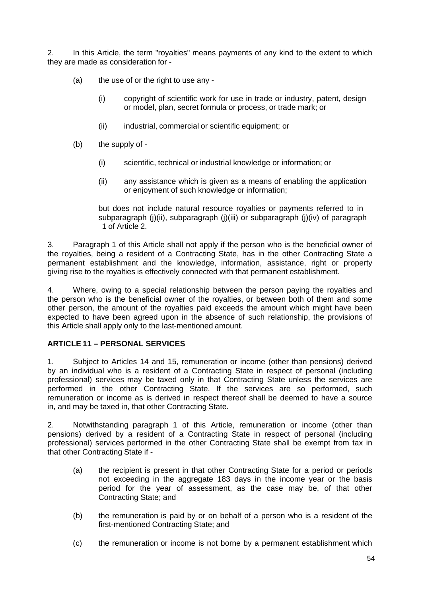2. In this Article, the term "royalties" means payments of any kind to the extent to which they are made as consideration for -

- (a) the use of or the right to use any
	- (i) copyright of scientific work for use in trade or industry, patent, design or model, plan, secret formula or process, or trade mark; or
	- (ii) industrial, commercial or scientific equipment; or
- (b) the supply of
	- (i) scientific, technical or industrial knowledge or information; or
	- (ii) any assistance which is given as a means of enabling the application or enjoyment of such knowledge or information;

but does not include natural resource royalties or payments referred to in subparagraph (j)(ii), subparagraph (j)(iii) or subparagraph (j)(iv) of paragraph 1 of Article 2.

3. Paragraph 1 of this Article shall not apply if the person who is the beneficial owner of the royalties, being a resident of a Contracting State, has in the other Contracting State a permanent establishment and the knowledge, information, assistance, right or property giving rise to the royalties is effectively connected with that permanent establishment.

4. Where, owing to a special relationship between the person paying the royalties and the person who is the beneficial owner of the royalties, or between both of them and some other person, the amount of the royalties paid exceeds the amount which might have been expected to have been agreed upon in the absence of such relationship, the provisions of this Article shall apply only to the last-mentioned amount.

### **ARTICLE 11 – PERSONAL SERVICES**

1. Subject to Articles 14 and 15, remuneration or income (other than pensions) derived by an individual who is a resident of a Contracting State in respect of personal (including professional) services may be taxed only in that Contracting State unless the services are performed in the other Contracting State. If the services are so performed, such remuneration or income as is derived in respect thereof shall be deemed to have a source in, and may be taxed in, that other Contracting State.

2. Notwithstanding paragraph 1 of this Article, remuneration or income (other than pensions) derived by a resident of a Contracting State in respect of personal (including professional) services performed in the other Contracting State shall be exempt from tax in that other Contracting State if -

- (a) the recipient is present in that other Contracting State for a period or periods not exceeding in the aggregate 183 days in the income year or the basis period for the year of assessment, as the case may be, of that other Contracting State; and
- (b) the remuneration is paid by or on behalf of a person who is a resident of the first-mentioned Contracting State; and
- (c) the remuneration or income is not borne by a permanent establishment which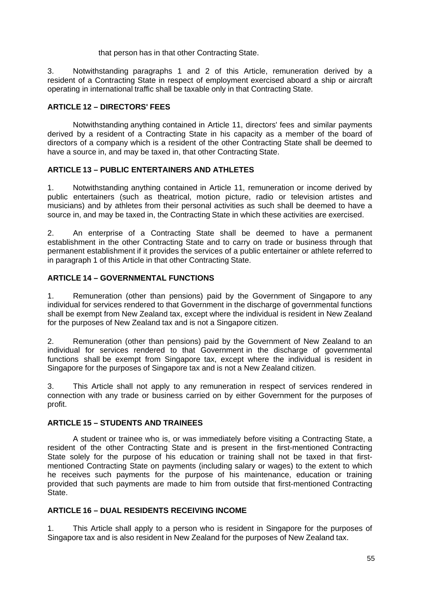that person has in that other Contracting State.

3. Notwithstanding paragraphs 1 and 2 of this Article, remuneration derived by a resident of a Contracting State in respect of employment exercised aboard a ship or aircraft operating in international traffic shall be taxable only in that Contracting State.

## **ARTICLE 12 – DIRECTORS' FEES**

Notwithstanding anything contained in Article 11, directors' fees and similar payments derived by a resident of a Contracting State in his capacity as a member of the board of directors of a company which is a resident of the other Contracting State shall be deemed to have a source in, and may be taxed in, that other Contracting State.

### **ARTICLE 13 – PUBLIC ENTERTAINERS AND ATHLETES**

1. Notwithstanding anything contained in Article 11, remuneration or income derived by public entertainers (such as theatrical, motion picture, radio or television artistes and musicians) and by athletes from their personal activities as such shall be deemed to have a source in, and may be taxed in, the Contracting State in which these activities are exercised.

2. An enterprise of a Contracting State shall be deemed to have a permanent establishment in the other Contracting State and to carry on trade or business through that permanent establishment if it provides the services of a public entertainer or athlete referred to in paragraph 1 of this Article in that other Contracting State.

### **ARTICLE 14 – GOVERNMENTAL FUNCTIONS**

1. Remuneration (other than pensions) paid by the Government of Singapore to any individual for services rendered to that Government in the discharge of governmental functions shall be exempt from New Zealand tax, except where the individual is resident in New Zealand for the purposes of New Zealand tax and is not a Singapore citizen.

2. Remuneration (other than pensions) paid by the Government of New Zealand to an individual for services rendered to that Government in the discharge of governmental functions shall be exempt from Singapore tax, except where the individual is resident in Singapore for the purposes of Singapore tax and is not a New Zealand citizen.

3. This Article shall not apply to any remuneration in respect of services rendered in connection with any trade or business carried on by either Government for the purposes of profit.

## **ARTICLE 15 – STUDENTS AND TRAINEES**

A student or trainee who is, or was immediately before visiting a Contracting State, a resident of the other Contracting State and is present in the first-mentioned Contracting State solely for the purpose of his education or training shall not be taxed in that firstmentioned Contracting State on payments (including salary or wages) to the extent to which he receives such payments for the purpose of his maintenance, education or training provided that such payments are made to him from outside that first-mentioned Contracting State.

### **ARTICLE 16 – DUAL RESIDENTS RECEIVING INCOME**

1. This Article shall apply to a person who is resident in Singapore for the purposes of Singapore tax and is also resident in New Zealand for the purposes of New Zealand tax.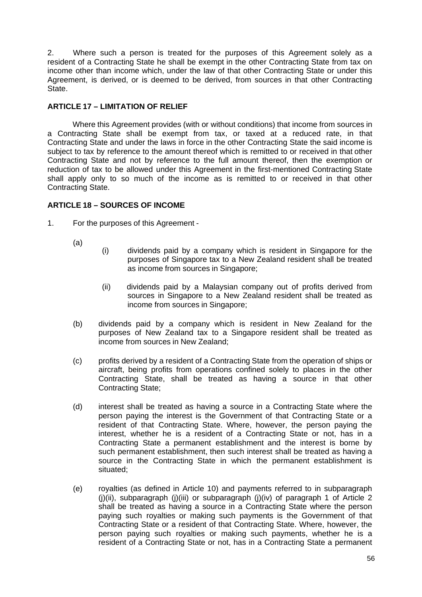2. Where such a person is treated for the purposes of this Agreement solely as a resident of a Contracting State he shall be exempt in the other Contracting State from tax on income other than income which, under the law of that other Contracting State or under this Agreement, is derived, or is deemed to be derived, from sources in that other Contracting State.

## **ARTICLE 17 – LIMITATION OF RELIEF**

Where this Agreement provides (with or without conditions) that income from sources in a Contracting State shall be exempt from tax, or taxed at a reduced rate, in that Contracting State and under the laws in force in the other Contracting State the said income is subject to tax by reference to the amount thereof which is remitted to or received in that other Contracting State and not by reference to the full amount thereof, then the exemption or reduction of tax to be allowed under this Agreement in the first-mentioned Contracting State shall apply only to so much of the income as is remitted to or received in that other Contracting State.

### **ARTICLE 18 – SOURCES OF INCOME**

- 1. For the purposes of this Agreement
	- (a)
- (i) dividends paid by a company which is resident in Singapore for the purposes of Singapore tax to a New Zealand resident shall be treated as income from sources in Singapore;
	- (ii) dividends paid by a Malaysian company out of profits derived from sources in Singapore to a New Zealand resident shall be treated as income from sources in Singapore;
- (b) dividends paid by a company which is resident in New Zealand for the purposes of New Zealand tax to a Singapore resident shall be treated as income from sources in New Zealand;
- (c) profits derived by a resident of a Contracting State from the operation of ships or aircraft, being profits from operations confined solely to places in the other Contracting State, shall be treated as having a source in that other Contracting State;
- (d) interest shall be treated as having a source in a Contracting State where the person paying the interest is the Government of that Contracting State or a resident of that Contracting State. Where, however, the person paying the interest, whether he is a resident of a Contracting State or not, has in a Contracting State a permanent establishment and the interest is borne by such permanent establishment, then such interest shall be treated as having a source in the Contracting State in which the permanent establishment is situated;
- (e) royalties (as defined in Article 10) and payments referred to in subparagraph  $(i)(ii)$ , subparagraph  $(i)(iii)$  or subparagraph  $(i)(iv)$  of paragraph 1 of Article 2 shall be treated as having a source in a Contracting State where the person paying such royalties or making such payments is the Government of that Contracting State or a resident of that Contracting State. Where, however, the person paying such royalties or making such payments, whether he is a resident of a Contracting State or not, has in a Contracting State a permanent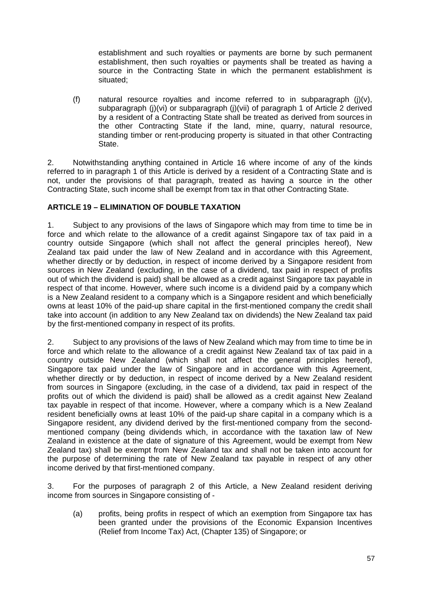establishment and such royalties or payments are borne by such permanent establishment, then such royalties or payments shall be treated as having a source in the Contracting State in which the permanent establishment is situated;

(f) natural resource royalties and income referred to in subparagraph  $(i)(v)$ , subparagraph (j)(vi) or subparagraph (j)(vii) of paragraph 1 of Article 2 derived by a resident of a Contracting State shall be treated as derived from sources in the other Contracting State if the land, mine, quarry, natural resource, standing timber or rent-producing property is situated in that other Contracting State.

2. Notwithstanding anything contained in Article 16 where income of any of the kinds referred to in paragraph 1 of this Article is derived by a resident of a Contracting State and is not, under the provisions of that paragraph, treated as having a source in the other Contracting State, such income shall be exempt from tax in that other Contracting State.

## **ARTICLE 19 – ELIMINATION OF DOUBLE TAXATION**

1. Subject to any provisions of the laws of Singapore which may from time to time be in force and which relate to the allowance of a credit against Singapore tax of tax paid in a country outside Singapore (which shall not affect the general principles hereof), New Zealand tax paid under the law of New Zealand and in accordance with this Agreement, whether directly or by deduction, in respect of income derived by a Singapore resident from sources in New Zealand (excluding, in the case of a dividend, tax paid in respect of profits out of which the dividend is paid) shall be allowed as a credit against Singapore tax payable in respect of that income. However, where such income is a dividend paid by a company which is a New Zealand resident to a company which is a Singapore resident and which beneficially owns at least 10% of the paid-up share capital in the first-mentioned company the credit shall take into account (in addition to any New Zealand tax on dividends) the New Zealand tax paid by the first-mentioned company in respect of its profits.

2. Subject to any provisions of the laws of New Zealand which may from time to time be in force and which relate to the allowance of a credit against New Zealand tax of tax paid in a country outside New Zealand (which shall not affect the general principles hereof), Singapore tax paid under the law of Singapore and in accordance with this Agreement, whether directly or by deduction, in respect of income derived by a New Zealand resident from sources in Singapore (excluding, in the case of a dividend, tax paid in respect of the profits out of which the dividend is paid) shall be allowed as a credit against New Zealand tax payable in respect of that income. However, where a company which is a New Zealand resident beneficially owns at least 10% of the paid-up share capital in a company which is a Singapore resident, any dividend derived by the first-mentioned company from the secondmentioned company (being dividends which, in accordance with the taxation law of New Zealand in existence at the date of signature of this Agreement, would be exempt from New Zealand tax) shall be exempt from New Zealand tax and shall not be taken into account for the purpose of determining the rate of New Zealand tax payable in respect of any other income derived by that first-mentioned company.

3. For the purposes of paragraph 2 of this Article, a New Zealand resident deriving income from sources in Singapore consisting of -

(a) profits, being profits in respect of which an exemption from Singapore tax has been granted under the provisions of the Economic Expansion Incentives (Relief from Income Tax) Act, (Chapter 135) of Singapore; or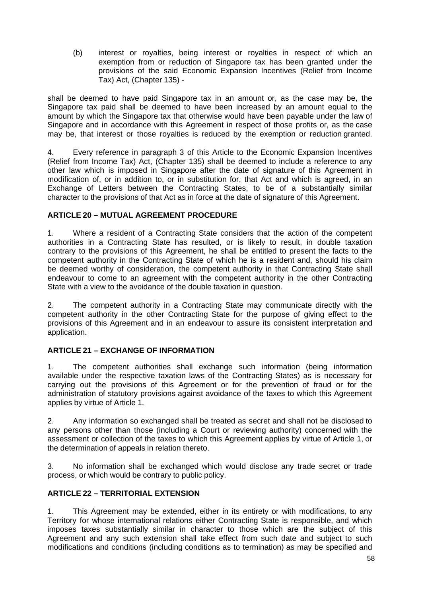(b) interest or royalties, being interest or royalties in respect of which an exemption from or reduction of Singapore tax has been granted under the provisions of the said Economic Expansion Incentives (Relief from Income Tax) Act, (Chapter 135) -

shall be deemed to have paid Singapore tax in an amount or, as the case may be, the Singapore tax paid shall be deemed to have been increased by an amount equal to the amount by which the Singapore tax that otherwise would have been payable under the law of Singapore and in accordance with this Agreement in respect of those profits or, as the case may be, that interest or those royalties is reduced by the exemption or reduction granted.

4. Every reference in paragraph 3 of this Article to the Economic Expansion Incentives (Relief from Income Tax) Act, (Chapter 135) shall be deemed to include a reference to any other law which is imposed in Singapore after the date of signature of this Agreement in modification of, or in addition to, or in substitution for, that Act and which is agreed, in an Exchange of Letters between the Contracting States, to be of a substantially similar character to the provisions of that Act as in force at the date of signature of this Agreement.

## **ARTICLE 20 – MUTUAL AGREEMENT PROCEDURE**

1. Where a resident of a Contracting State considers that the action of the competent authorities in a Contracting State has resulted, or is likely to result, in double taxation contrary to the provisions of this Agreement, he shall be entitled to present the facts to the competent authority in the Contracting State of which he is a resident and, should his claim be deemed worthy of consideration, the competent authority in that Contracting State shall endeavour to come to an agreement with the competent authority in the other Contracting State with a view to the avoidance of the double taxation in question.

2. The competent authority in a Contracting State may communicate directly with the competent authority in the other Contracting State for the purpose of giving effect to the provisions of this Agreement and in an endeavour to assure its consistent interpretation and application.

## **ARTICLE 21 – EXCHANGE OF INFORMATION**

1. The competent authorities shall exchange such information (being information available under the respective taxation laws of the Contracting States) as is necessary for carrying out the provisions of this Agreement or for the prevention of fraud or for the administration of statutory provisions against avoidance of the taxes to which this Agreement applies by virtue of Article 1.

2. Any information so exchanged shall be treated as secret and shall not be disclosed to any persons other than those (including a Court or reviewing authority) concerned with the assessment or collection of the taxes to which this Agreement applies by virtue of Article 1, or the determination of appeals in relation thereto.

3. No information shall be exchanged which would disclose any trade secret or trade process, or which would be contrary to public policy.

### **ARTICLE 22 – TERRITORIAL EXTENSION**

1. This Agreement may be extended, either in its entirety or with modifications, to any Territory for whose international relations either Contracting State is responsible, and which imposes taxes substantially similar in character to those which are the subject of this Agreement and any such extension shall take effect from such date and subject to such modifications and conditions (including conditions as to termination) as may be specified and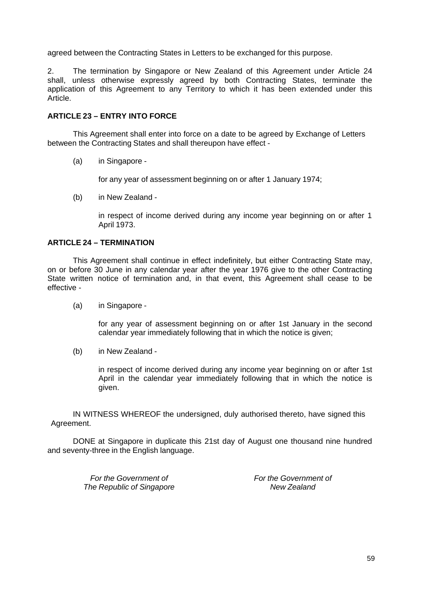agreed between the Contracting States in Letters to be exchanged for this purpose.

2. The termination by Singapore or New Zealand of this Agreement under Article 24 shall, unless otherwise expressly agreed by both Contracting States, terminate the application of this Agreement to any Territory to which it has been extended under this Article.

### **ARTICLE 23 – ENTRY INTO FORCE**

This Agreement shall enter into force on a date to be agreed by Exchange of Letters between the Contracting States and shall thereupon have effect -

(a) in Singapore -

for any year of assessment beginning on or after 1 January 1974;

(b) in New Zealand -

in respect of income derived during any income year beginning on or after 1 April 1973.

#### **ARTICLE 24 – TERMINATION**

This Agreement shall continue in effect indefinitely, but either Contracting State may, on or before 30 June in any calendar year after the year 1976 give to the other Contracting State written notice of termination and, in that event, this Agreement shall cease to be effective -

(a) in Singapore -

for any year of assessment beginning on or after 1st January in the second calendar year immediately following that in which the notice is given;

(b) in New Zealand -

in respect of income derived during any income year beginning on or after 1st April in the calendar year immediately following that in which the notice is given.

IN WITNESS WHEREOF the undersigned, duly authorised thereto, have signed this Agreement.

DONE at Singapore in duplicate this 21st day of August one thousand nine hundred and seventy-three in the English language.

> *For the Government of The Republic of Singapore*

*For the Government of New Zealand*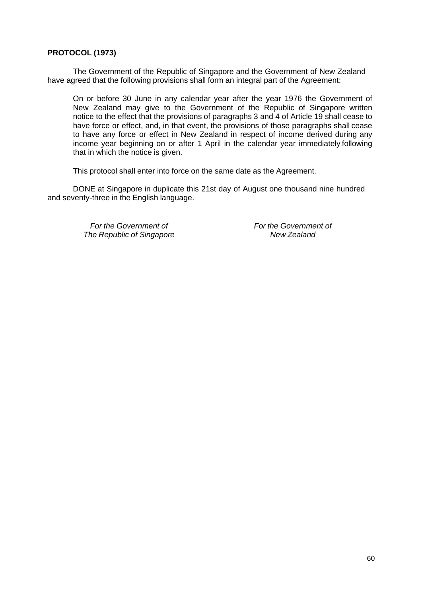## **PROTOCOL (1973)**

The Government of the Republic of Singapore and the Government of New Zealand have agreed that the following provisions shall form an integral part of the Agreement:

On or before 30 June in any calendar year after the year 1976 the Government of New Zealand may give to the Government of the Republic of Singapore written notice to the effect that the provisions of paragraphs 3 and 4 of Article 19 shall cease to have force or effect, and, in that event, the provisions of those paragraphs shall cease to have any force or effect in New Zealand in respect of income derived during any income year beginning on or after 1 April in the calendar year immediately following that in which the notice is given.

This protocol shall enter into force on the same date as the Agreement.

DONE at Singapore in duplicate this 21st day of August one thousand nine hundred and seventy-three in the English language.

> *For the Government of The Republic of Singapore*

*For the Government of New Zealand*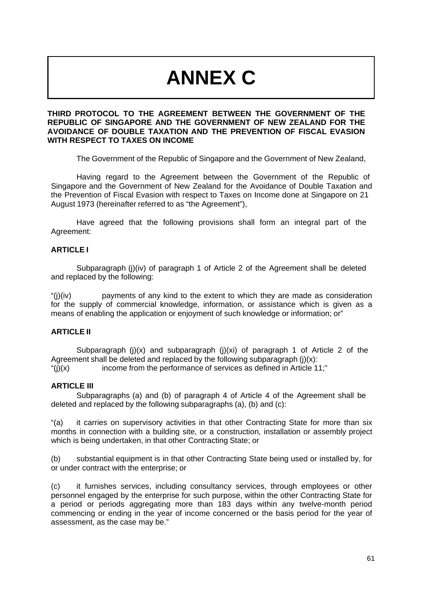# **ANNEX C**

### **THIRD PROTOCOL TO THE AGREEMENT BETWEEN THE GOVERNMENT OF THE REPUBLIC OF SINGAPORE AND THE GOVERNMENT OF NEW ZEALAND FOR THE AVOIDANCE OF DOUBLE TAXATION AND THE PREVENTION OF FISCAL EVASION WITH RESPECT TO TAXES ON INCOME**

The Government of the Republic of Singapore and the Government of New Zealand,

Having regard to the Agreement between the Government of the Republic of Singapore and the Government of New Zealand for the Avoidance of Double Taxation and the Prevention of Fiscal Evasion with respect to Taxes on Income done at Singapore on 21 August 1973 (hereinafter referred to as "the Agreement"),

Have agreed that the following provisions shall form an integral part of the Agreement:

### **ARTICLE I**

Subparagraph (j)(iv) of paragraph 1 of Article 2 of the Agreement shall be deleted and replaced by the following:

"(j)(iv) payments of any kind to the extent to which they are made as consideration for the supply of commercial knowledge, information, or assistance which is given as a means of enabling the application or enjoyment of such knowledge or information; or"

### **ARTICLE II**

Subparagraph (j)(x) and subparagraph (j)(xi) of paragraph 1 of Article 2 of the Agreement shall be deleted and replaced by the following subparagraph  $(j)(x)$ :  $''(j)(x)$  income from the performance of services as defined in Article 11;"

### **ARTICLE III**

Subparagraphs (a) and (b) of paragraph 4 of Article 4 of the Agreement shall be deleted and replaced by the following subparagraphs (a), (b) and (c):

"(a) it carries on supervisory activities in that other Contracting State for more than six months in connection with a building site, or a construction, installation or assembly project which is being undertaken, in that other Contracting State; or

(b) substantial equipment is in that other Contracting State being used or installed by, for or under contract with the enterprise; or

(c) it furnishes services, including consultancy services, through employees or other personnel engaged by the enterprise for such purpose, within the other Contracting State for a period or periods aggregating more than 183 days within any twelve-month period commencing or ending in the year of income concerned or the basis period for the year of assessment, as the case may be."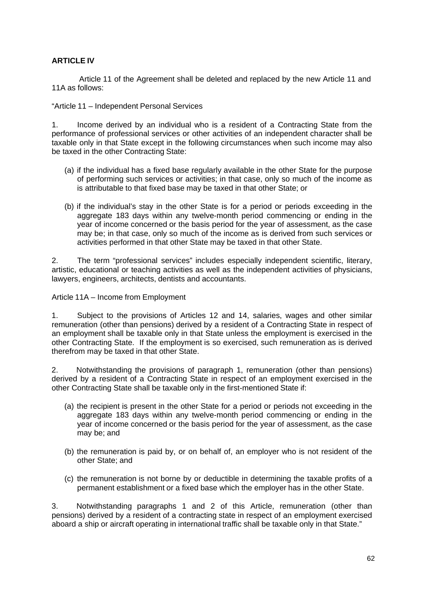## **ARTICLE IV**

Article 11 of the Agreement shall be deleted and replaced by the new Article 11 and 11A as follows:

"Article 11 – Independent Personal Services

1. Income derived by an individual who is a resident of a Contracting State from the performance of professional services or other activities of an independent character shall be taxable only in that State except in the following circumstances when such income may also be taxed in the other Contracting State:

- (a) if the individual has a fixed base regularly available in the other State for the purpose of performing such services or activities; in that case, only so much of the income as is attributable to that fixed base may be taxed in that other State; or
- (b) if the individual's stay in the other State is for a period or periods exceeding in the aggregate 183 days within any twelve-month period commencing or ending in the year of income concerned or the basis period for the year of assessment, as the case may be; in that case, only so much of the income as is derived from such services or activities performed in that other State may be taxed in that other State.

2. The term "professional services" includes especially independent scientific, literary, artistic, educational or teaching activities as well as the independent activities of physicians, lawyers, engineers, architects, dentists and accountants.

Article 11A – Income from Employment

1. Subject to the provisions of Articles 12 and 14, salaries, wages and other similar remuneration (other than pensions) derived by a resident of a Contracting State in respect of an employment shall be taxable only in that State unless the employment is exercised in the other Contracting State. If the employment is so exercised, such remuneration as is derived therefrom may be taxed in that other State.

2. Notwithstanding the provisions of paragraph 1, remuneration (other than pensions) derived by a resident of a Contracting State in respect of an employment exercised in the other Contracting State shall be taxable only in the first-mentioned State if:

- (a) the recipient is present in the other State for a period or periods not exceeding in the aggregate 183 days within any twelve-month period commencing or ending in the year of income concerned or the basis period for the year of assessment, as the case may be; and
- (b) the remuneration is paid by, or on behalf of, an employer who is not resident of the other State; and
- (c) the remuneration is not borne by or deductible in determining the taxable profits of a permanent establishment or a fixed base which the employer has in the other State.

3. Notwithstanding paragraphs 1 and 2 of this Article, remuneration (other than pensions) derived by a resident of a contracting state in respect of an employment exercised aboard a ship or aircraft operating in international traffic shall be taxable only in that State."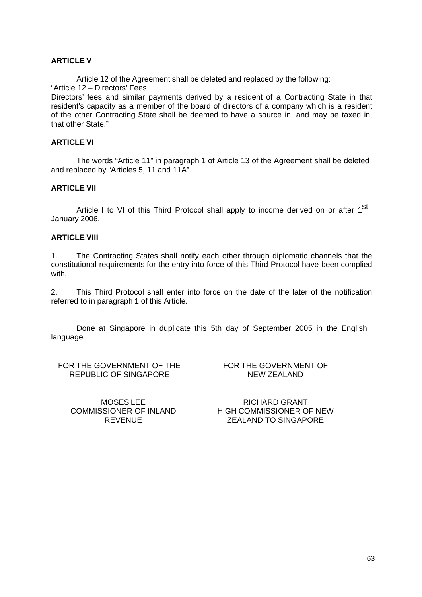## **ARTICLE V**

Article 12 of the Agreement shall be deleted and replaced by the following: "Article 12 – Directors' Fees

Directors' fees and similar payments derived by a resident of a Contracting State in that resident's capacity as a member of the board of directors of a company which is a resident of the other Contracting State shall be deemed to have a source in, and may be taxed in, that other State."

### **ARTICLE VI**

The words "Article 11" in paragraph 1 of Article 13 of the Agreement shall be deleted and replaced by "Articles 5, 11 and 11A".

### **ARTICLE VII**

Article I to VI of this Third Protocol shall apply to income derived on or after 1<sup>st</sup> January 2006.

### **ARTICLE VIII**

1. The Contracting States shall notify each other through diplomatic channels that the constitutional requirements for the entry into force of this Third Protocol have been complied with.

2. This Third Protocol shall enter into force on the date of the later of the notification referred to in paragraph 1 of this Article.

Done at Singapore in duplicate this 5th day of September 2005 in the English language.

FOR THE GOVERNMENT OF THE REPUBLIC OF SINGAPORE

FOR THE GOVERNMENT OF NEW ZEALAND

MOSES LEE COMMISSIONER OF INLAND REVENUE

RICHARD GRANT HIGH COMMISSIONER OF NEW ZEALAND TO SINGAPORE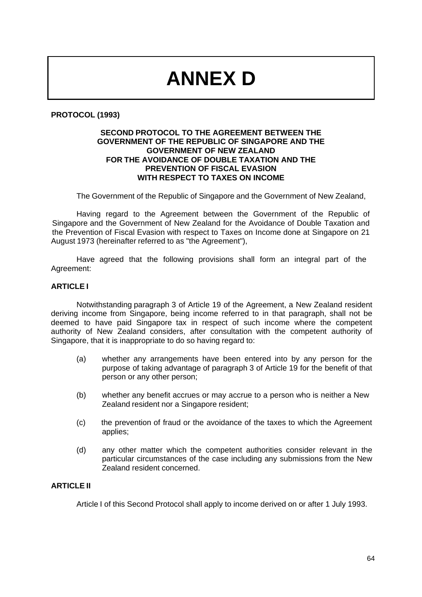# **ANNEX D**

**PROTOCOL (1993)**

### **SECOND PROTOCOL TO THE AGREEMENT BETWEEN THE GOVERNMENT OF THE REPUBLIC OF SINGAPORE AND THE GOVERNMENT OF NEW ZEALAND FOR THE AVOIDANCE OF DOUBLE TAXATION AND THE PREVENTION OF FISCAL EVASION WITH RESPECT TO TAXES ON INCOME**

The Government of the Republic of Singapore and the Government of New Zealand,

Having regard to the Agreement between the Government of the Republic of Singapore and the Government of New Zealand for the Avoidance of Double Taxation and the Prevention of Fiscal Evasion with respect to Taxes on Income done at Singapore on 21 August 1973 (hereinafter referred to as "the Agreement"),

Have agreed that the following provisions shall form an integral part of the Agreement:

### **ARTICLE I**

Notwithstanding paragraph 3 of Article 19 of the Agreement, a New Zealand resident deriving income from Singapore, being income referred to in that paragraph, shall not be deemed to have paid Singapore tax in respect of such income where the competent authority of New Zealand considers, after consultation with the competent authority of Singapore, that it is inappropriate to do so having regard to:

- (a) whether any arrangements have been entered into by any person for the purpose of taking advantage of paragraph 3 of Article 19 for the benefit of that person or any other person;
- (b) whether any benefit accrues or may accrue to a person who is neither a New Zealand resident nor a Singapore resident;
- (c) the prevention of fraud or the avoidance of the taxes to which the Agreement applies;
- (d) any other matter which the competent authorities consider relevant in the particular circumstances of the case including any submissions from the New Zealand resident concerned.

### **ARTICLE II**

Article I of this Second Protocol shall apply to income derived on or after 1 July 1993.